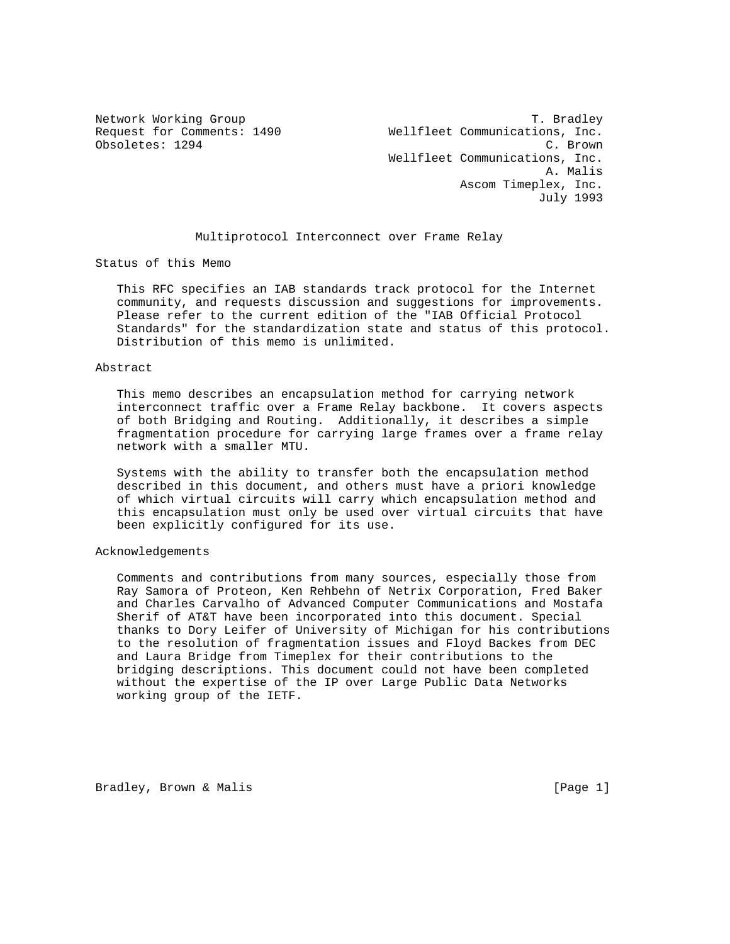Network Working Group<br>Request for Comments: 1490 Wellfleet Communications, Inc. Wellfleet Communications, Inc. Obsoletes: 1294 C. Brown Wellfleet Communications, Inc. A. Malis Ascom Timeplex, Inc. July 1993

#### Multiprotocol Interconnect over Frame Relay

Status of this Memo

 This RFC specifies an IAB standards track protocol for the Internet community, and requests discussion and suggestions for improvements. Please refer to the current edition of the "IAB Official Protocol Standards" for the standardization state and status of this protocol. Distribution of this memo is unlimited.

#### Abstract

 This memo describes an encapsulation method for carrying network interconnect traffic over a Frame Relay backbone. It covers aspects of both Bridging and Routing. Additionally, it describes a simple fragmentation procedure for carrying large frames over a frame relay network with a smaller MTU.

 Systems with the ability to transfer both the encapsulation method described in this document, and others must have a priori knowledge of which virtual circuits will carry which encapsulation method and this encapsulation must only be used over virtual circuits that have been explicitly configured for its use.

### Acknowledgements

 Comments and contributions from many sources, especially those from Ray Samora of Proteon, Ken Rehbehn of Netrix Corporation, Fred Baker and Charles Carvalho of Advanced Computer Communications and Mostafa Sherif of AT&T have been incorporated into this document. Special thanks to Dory Leifer of University of Michigan for his contributions to the resolution of fragmentation issues and Floyd Backes from DEC and Laura Bridge from Timeplex for their contributions to the bridging descriptions. This document could not have been completed without the expertise of the IP over Large Public Data Networks working group of the IETF.

Bradley, Brown & Malis (Page 1)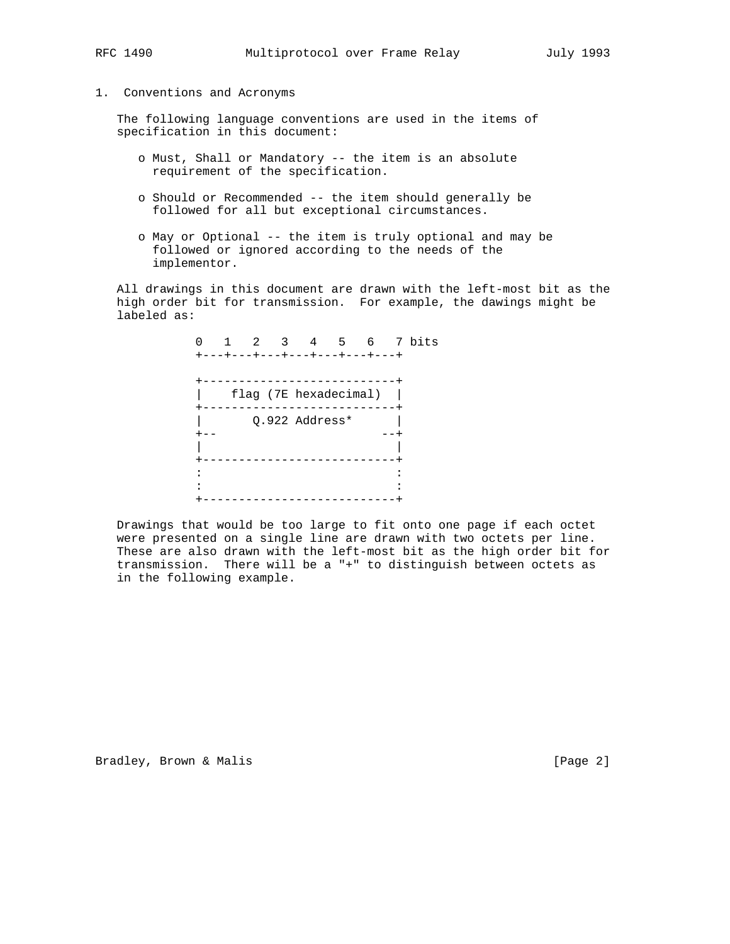# 1. Conventions and Acronyms

 The following language conventions are used in the items of specification in this document:

- o Must, Shall or Mandatory -- the item is an absolute requirement of the specification.
- o Should or Recommended -- the item should generally be followed for all but exceptional circumstances.
- o May or Optional -- the item is truly optional and may be followed or ignored according to the needs of the implementor.

 All drawings in this document are drawn with the left-most bit as the high order bit for transmission. For example, the dawings might be labeled as:

0 1 2 3 4 5 6 7 bits +---+---+---+---+---+---+---+ +---------------------------+ | flag (7E hexadecimal) | .<br>+-----------------------------+ | Q.922 Address\* | +-- --+ | | +---------------------------+ the second control of the second control of the second control of the second control of the second contract of the second contract of the second contract of the second contract of +---------------------------+

 Drawings that would be too large to fit onto one page if each octet were presented on a single line are drawn with two octets per line. These are also drawn with the left-most bit as the high order bit for transmission. There will be a "+" to distinguish between octets as in the following example.

Bradley, Brown & Malis (Page 2)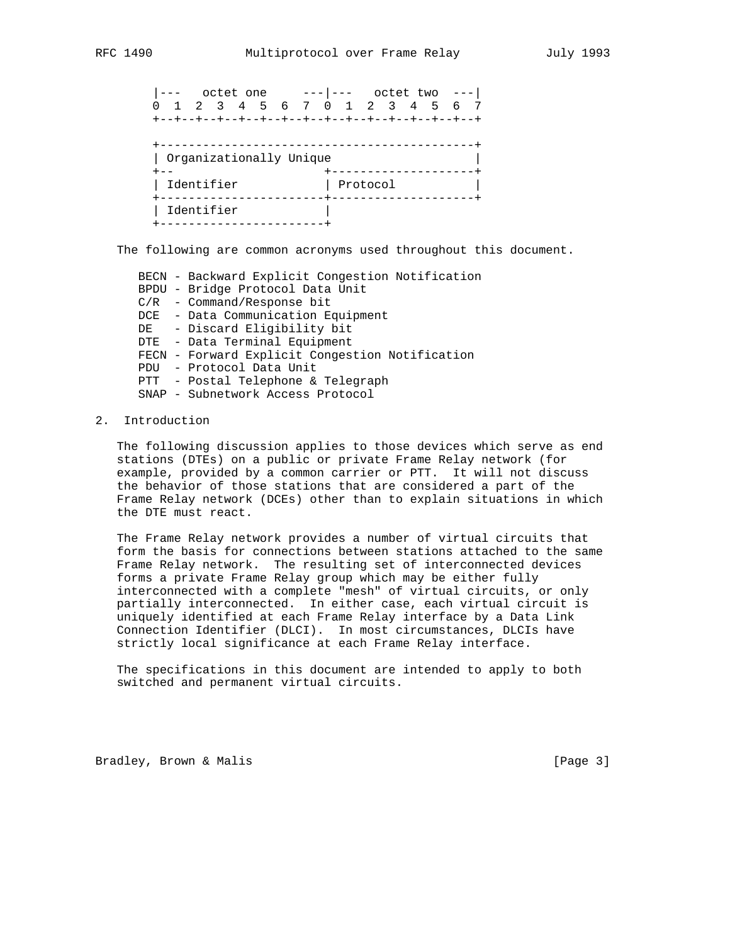|--- octet one ---|--- octet two ---| 0 1 2 3 4 5 6 7 0 1 2 3 4 5 6 7 +--+--+--+--+--+--+--+--+--+--+--+--+--+--+--+ +--------------------------------------------+ | Organizationally Unique | +-- +--------------------+ | Identifier | Protocol | | +-----------------------+--------------------+ | Identifier | +-----------------------+

The following are common acronyms used throughout this document.

 BECN - Backward Explicit Congestion Notification BPDU - Bridge Protocol Data Unit C/R - Command/Response bit DCE - Data Communication Equipment DE - Discard Eligibility bit DTE - Data Terminal Equipment FECN - Forward Explicit Congestion Notification PDU - Protocol Data Unit PTT - Postal Telephone & Telegraph SNAP - Subnetwork Access Protocol

#### 2. Introduction

 The following discussion applies to those devices which serve as end stations (DTEs) on a public or private Frame Relay network (for example, provided by a common carrier or PTT. It will not discuss the behavior of those stations that are considered a part of the Frame Relay network (DCEs) other than to explain situations in which the DTE must react.

 The Frame Relay network provides a number of virtual circuits that form the basis for connections between stations attached to the same Frame Relay network. The resulting set of interconnected devices forms a private Frame Relay group which may be either fully interconnected with a complete "mesh" of virtual circuits, or only partially interconnected. In either case, each virtual circuit is uniquely identified at each Frame Relay interface by a Data Link Connection Identifier (DLCI). In most circumstances, DLCIs have strictly local significance at each Frame Relay interface.

 The specifications in this document are intended to apply to both switched and permanent virtual circuits.

Bradley, Brown & Malis (1998) [Page 3]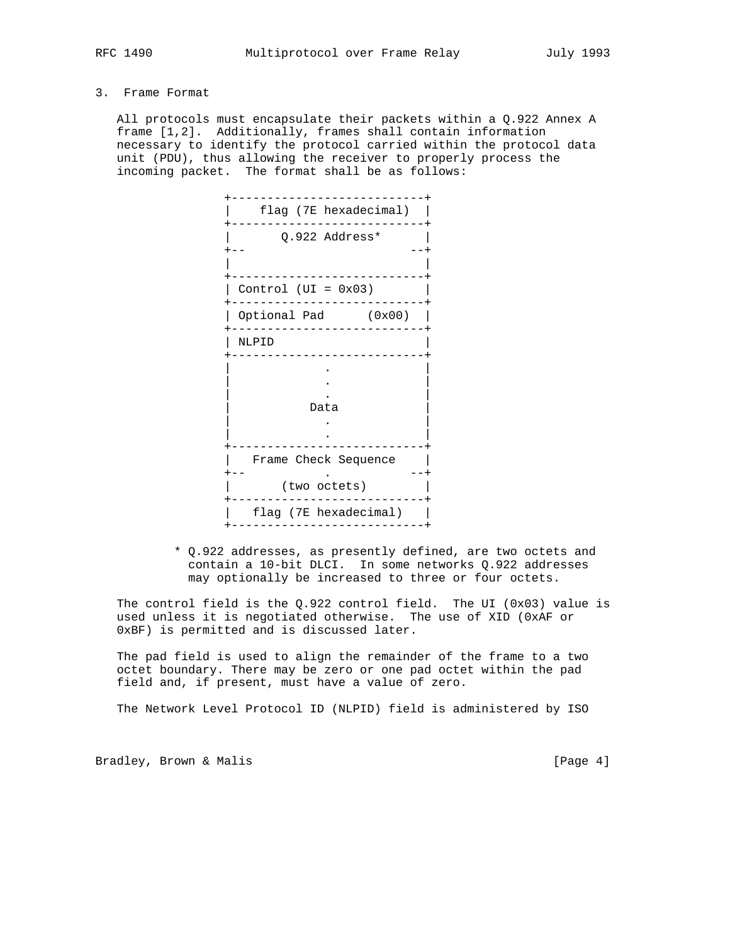# 3. Frame Format

 All protocols must encapsulate their packets within a Q.922 Annex A frame [1,2]. Additionally, frames shall contain information necessary to identify the protocol carried within the protocol data unit (PDU), thus allowing the receiver to properly process the incoming packet. The format shall be as follows:

| flag (7E hexadecimal)                |
|--------------------------------------|
| Q.922 Address*                       |
| Control (UI = $0x03$ )               |
| Optional Pad (0x00)                  |
| NLPID                                |
| Data                                 |
| Frame Check Sequence<br>(two octets) |
| flag (7E hexadecimal)                |

 \* Q.922 addresses, as presently defined, are two octets and contain a 10-bit DLCI. In some networks Q.922 addresses may optionally be increased to three or four octets.

The control field is the  $Q.922$  control field. The UI (0x03) value is used unless it is negotiated otherwise. The use of XID (0xAF or 0xBF) is permitted and is discussed later.

 The pad field is used to align the remainder of the frame to a two octet boundary. There may be zero or one pad octet within the pad field and, if present, must have a value of zero.

The Network Level Protocol ID (NLPID) field is administered by ISO

Bradley, Brown & Malis (Page 4)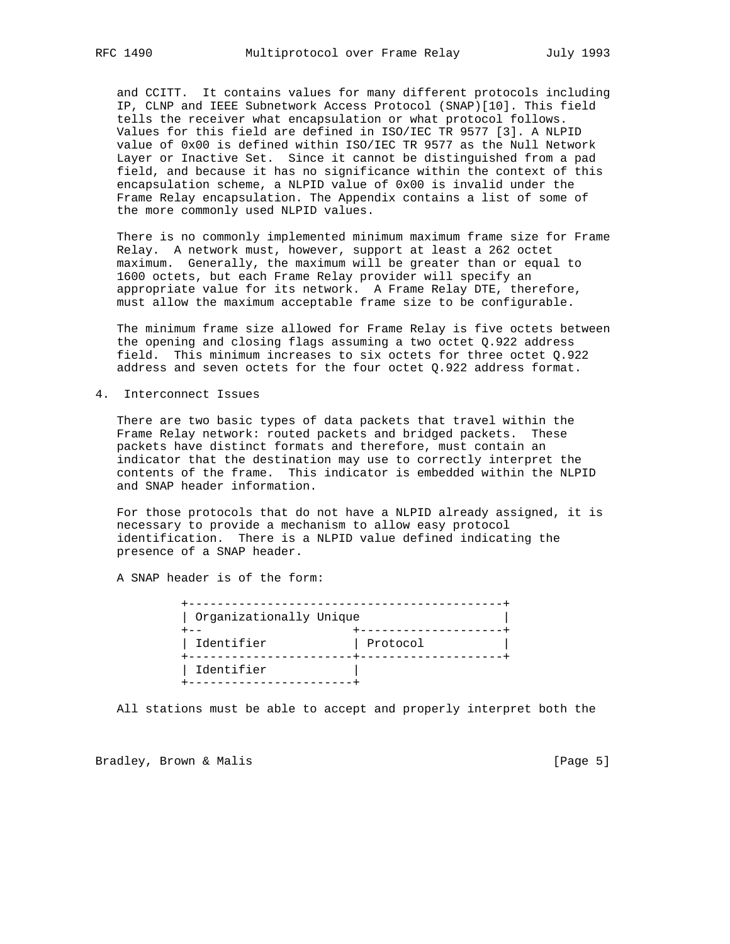and CCITT. It contains values for many different protocols including IP, CLNP and IEEE Subnetwork Access Protocol (SNAP)[10]. This field tells the receiver what encapsulation or what protocol follows. Values for this field are defined in ISO/IEC TR 9577 [3]. A NLPID value of 0x00 is defined within ISO/IEC TR 9577 as the Null Network Layer or Inactive Set. Since it cannot be distinguished from a pad field, and because it has no significance within the context of this encapsulation scheme, a NLPID value of 0x00 is invalid under the Frame Relay encapsulation. The Appendix contains a list of some of the more commonly used NLPID values.

 There is no commonly implemented minimum maximum frame size for Frame Relay. A network must, however, support at least a 262 octet maximum. Generally, the maximum will be greater than or equal to 1600 octets, but each Frame Relay provider will specify an appropriate value for its network. A Frame Relay DTE, therefore, must allow the maximum acceptable frame size to be configurable.

 The minimum frame size allowed for Frame Relay is five octets between the opening and closing flags assuming a two octet Q.922 address field. This minimum increases to six octets for three octet Q.922 address and seven octets for the four octet Q.922 address format.

4. Interconnect Issues

 There are two basic types of data packets that travel within the Frame Relay network: routed packets and bridged packets. These packets have distinct formats and therefore, must contain an indicator that the destination may use to correctly interpret the contents of the frame. This indicator is embedded within the NLPID and SNAP header information.

 For those protocols that do not have a NLPID already assigned, it is necessary to provide a mechanism to allow easy protocol identification. There is a NLPID value defined indicating the presence of a SNAP header.

A SNAP header is of the form:

| Organizationally Unique |          |
|-------------------------|----------|
| Identifier              | Protocol |
| Identifier              |          |

All stations must be able to accept and properly interpret both the

Bradley, Brown & Malis (1998) [Page 5]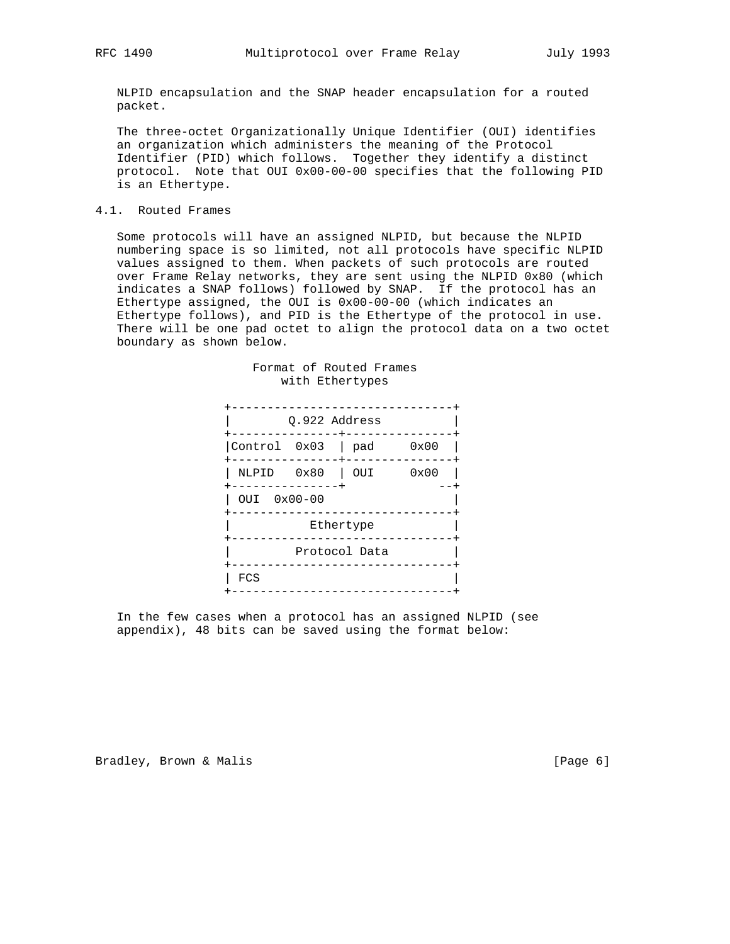NLPID encapsulation and the SNAP header encapsulation for a routed packet.

 The three-octet Organizationally Unique Identifier (OUI) identifies an organization which administers the meaning of the Protocol Identifier (PID) which follows. Together they identify a distinct protocol. Note that OUI 0x00-00-00 specifies that the following PID is an Ethertype.

### 4.1. Routed Frames

 Some protocols will have an assigned NLPID, but because the NLPID numbering space is so limited, not all protocols have specific NLPID values assigned to them. When packets of such protocols are routed over Frame Relay networks, they are sent using the NLPID 0x80 (which indicates a SNAP follows) followed by SNAP. If the protocol has an Ethertype assigned, the OUI is 0x00-00-00 (which indicates an Ethertype follows), and PID is the Ethertype of the protocol in use. There will be one pad octet to align the protocol data on a two octet boundary as shown below.

|              | Q.922 Address |               |      |
|--------------|---------------|---------------|------|
| Control 0x03 |               | pad           | 0x00 |
| NLPID        | 0x80          | OUI           | 0x00 |
| OUI          | $0x00 - 00$   |               |      |
|              |               | Ethertype     |      |
|              |               | Protocol Data |      |
| FCS          |               |               |      |

#### Format of Routed Frames with Ethertypes

 In the few cases when a protocol has an assigned NLPID (see appendix), 48 bits can be saved using the format below:

Bradley, Brown & Malis (1998) [Page 6]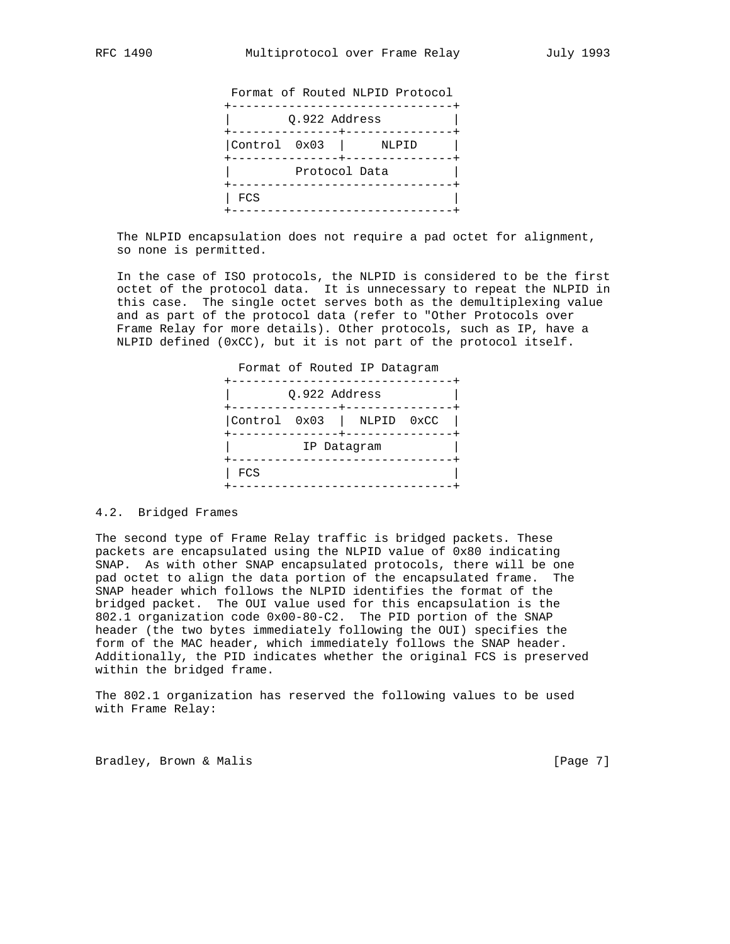Format of Routed NLPID Protocol +-------------------------------+ | Q.922 Address | +---------------+---------------+ |Control 0x03 | NLPID | +---------------+---------------+ Protocol Data +-------------------------------+  $\vert$  FCS  $\vert$ +-------------------------------+

 The NLPID encapsulation does not require a pad octet for alignment, so none is permitted.

 In the case of ISO protocols, the NLPID is considered to be the first octet of the protocol data. It is unnecessary to repeat the NLPID in this case. The single octet serves both as the demultiplexing value and as part of the protocol data (refer to "Other Protocols over Frame Relay for more details). Other protocols, such as IP, have a NLPID defined (0xCC), but it is not part of the protocol itself.

| FCS |  |                                                                                           |
|-----|--|-------------------------------------------------------------------------------------------|
|     |  | Format of Routed IP Datagram<br>Q.922 Address<br>Control 0x03   NLPID 0xCC<br>IP Datagram |

#### 4.2. Bridged Frames

The second type of Frame Relay traffic is bridged packets. These packets are encapsulated using the NLPID value of 0x80 indicating SNAP. As with other SNAP encapsulated protocols, there will be one pad octet to align the data portion of the encapsulated frame. The SNAP header which follows the NLPID identifies the format of the bridged packet. The OUI value used for this encapsulation is the 802.1 organization code 0x00-80-C2. The PID portion of the SNAP header (the two bytes immediately following the OUI) specifies the form of the MAC header, which immediately follows the SNAP header. Additionally, the PID indicates whether the original FCS is preserved within the bridged frame.

The 802.1 organization has reserved the following values to be used with Frame Relay:

Bradley, Brown & Malis (Page 7)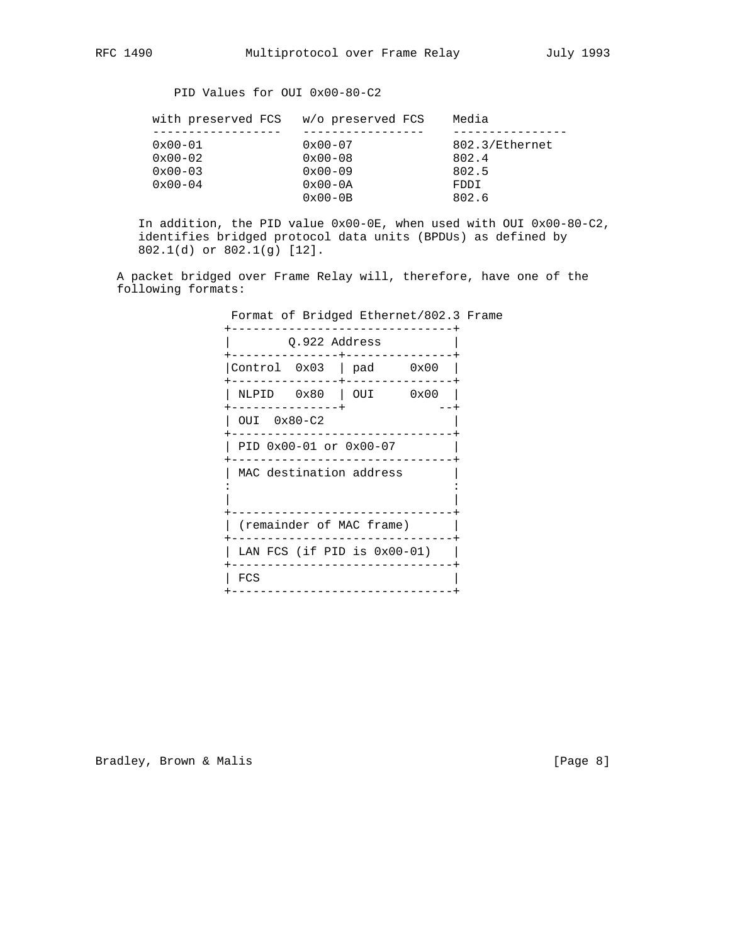# PID Values for OUI 0x00-80-C2

| with preserved FCS w/o preserved FCS |                     | Media          |
|--------------------------------------|---------------------|----------------|
|                                      |                     |                |
| $0x00 - 01$                          | $0 \times 00 - 07$  | 802.3/Ethernet |
| $0x00-02$                            | $0 \times 00 - 08$  | 802.4          |
| $0x00-03$                            | $0 \times 00 - 09$  | 802.5          |
| $0 \times 00 - 04$                   | $0 \times 00 - 0$ A | FDDI           |
|                                      | $0 \times 00 - 0B$  | 802.6          |
|                                      |                     |                |

 In addition, the PID value 0x00-0E, when used with OUI 0x00-80-C2, identifies bridged protocol data units (BPDUs) as defined by 802.1(d) or 802.1(g) [12].

 A packet bridged over Frame Relay will, therefore, have one of the following formats:

Format of Bridged Ethernet/802.3 Frame

|             | Q.922 Address |                                |  |
|-------------|---------------|--------------------------------|--|
|             |               | Control $0x03$   pad $0x00$    |  |
|             |               | NLPID 0x80   OUI 0x00          |  |
| OUI 0x80-C2 |               |                                |  |
|             |               | PID 0x00-01 or 0x00-07         |  |
|             |               | MAC destination address        |  |
|             |               | (remainder of MAC frame)       |  |
|             |               | LAN FCS (if PID is $0x00-01$ ) |  |
| FCS         |               |                                |  |
|             |               |                                |  |

Bradley, Brown & Malis (Page 8)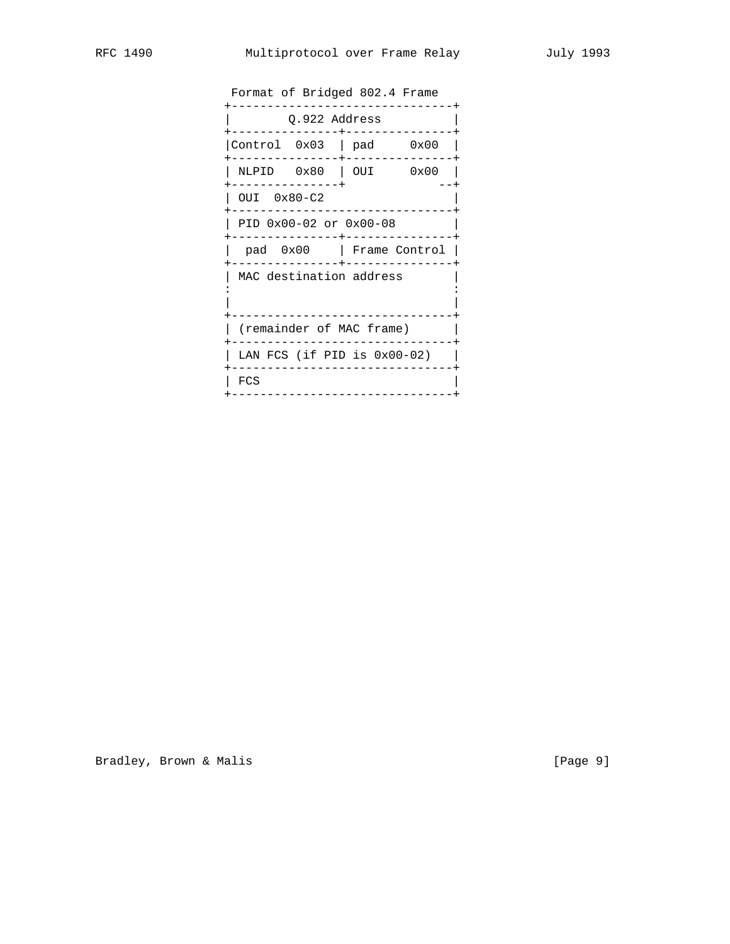| Format of Bridged 802.4 Frame             |                          |  |  |
|-------------------------------------------|--------------------------|--|--|
| Q.922 Address                             |                          |  |  |
| Control $0x03$   pad $0x00$               |                          |  |  |
| ------------+                             | NLPID 0x80   OUI 0x00    |  |  |
| OUI 0x80-C2                               |                          |  |  |
| PID 0x00-02 or 0x00-08<br>$- - - - - - -$ |                          |  |  |
|                                           | pad 0x00   Frame Control |  |  |
| MAC destination address                   |                          |  |  |
|                                           |                          |  |  |
| (remainder of MAC frame)                  |                          |  |  |
| LAN FCS (if PID is $0x00-02$ )            |                          |  |  |
| FCS                                       |                          |  |  |
|                                           |                          |  |  |

Bradley, Brown & Malis (1998) [Page 9]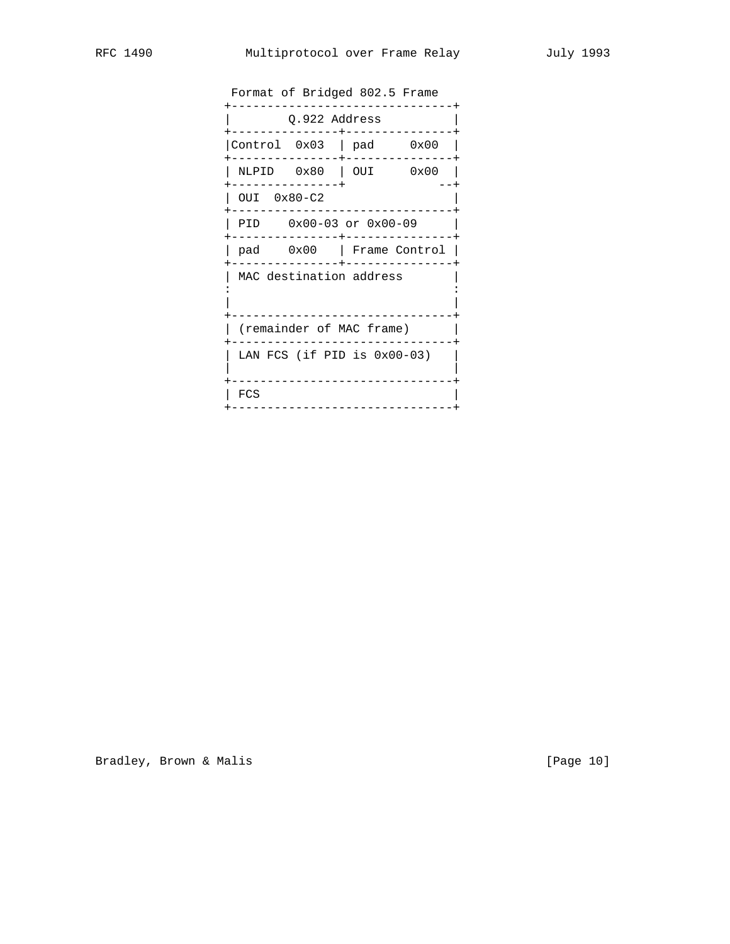| Format of Bridged 802.5 Frame |                                |     |      |
|-------------------------------|--------------------------------|-----|------|
| Q.922 Address                 |                                |     |      |
| Control 0x03                  |                                | pad | 0x00 |
| NLPID                         | 0x80                           | OUI | 0x00 |
| OUI                           | $0x80 - C2$                    |     |      |
| PID                           | $0x00-03$ or $0x00-09$         |     |      |
| pad                           | $0x00$   Frame Control         |     |      |
|                               | MAC destination address        |     |      |
|                               |                                |     |      |
|                               | (remainder of MAC frame)       |     |      |
|                               | LAN FCS (if PID is $0x00-03$ ) |     |      |
|                               |                                |     |      |
| FCS                           |                                |     |      |

Bradley, Brown & Malis (Page 10)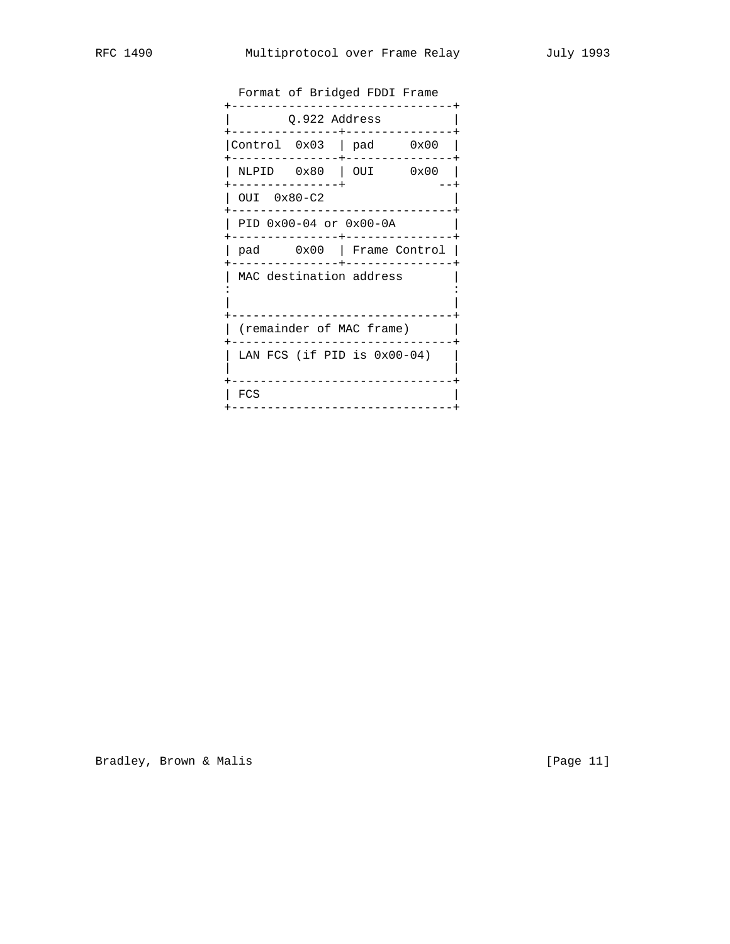| Format of Bridged FDDI Frame |  |                                |                          |
|------------------------------|--|--------------------------------|--------------------------|
| Q.922 Address                |  |                                |                          |
| Control $0x03$   pad $0x00$  |  |                                |                          |
|                              |  | NLPID 0x80   OUI 0x00          |                          |
| OUI 0x80-C2                  |  |                                |                          |
|                              |  | PID 0x00-04 or 0x00-0A         |                          |
|                              |  |                                | pad 0x00   Frame Control |
|                              |  | MAC destination address        |                          |
|                              |  |                                |                          |
|                              |  | (remainder of MAC frame)       |                          |
|                              |  | LAN FCS (if PID is $0x00-04$ ) |                          |
|                              |  |                                |                          |
| FCS                          |  |                                |                          |

Bradley, Brown & Malis (Page 11)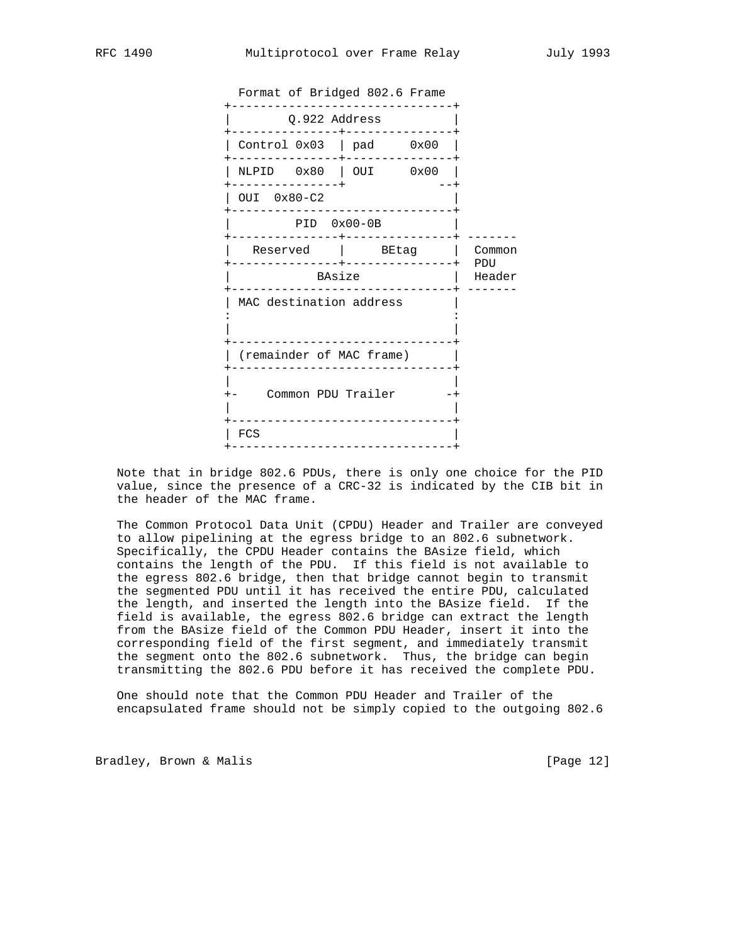|                          | Format of Bridged 802.6 Frame<br>--------      |               |
|--------------------------|------------------------------------------------|---------------|
|                          | Q.922 Address                                  |               |
|                          | Control $0x03$   pad $0x00$                    |               |
|                          | NLPID 0x80   OUI 0x00                          |               |
| ---------<br>OUI 0x80-C2 |                                                |               |
|                          | $PID$ $0x00-0B$                                |               |
| ------                   | Reserved   BEtag  <br>-------+---------------+ | Common        |
|                          | BAsize                                         | PDU<br>Header |
| MAC destination address  |                                                |               |
|                          |                                                |               |
| (remainder of MAC frame) |                                                |               |
|                          |                                                |               |
|                          | Common PDU Trailer                             |               |
| FCS                      | --------------------------                     |               |
|                          | ---------------                                |               |

 Note that in bridge 802.6 PDUs, there is only one choice for the PID value, since the presence of a CRC-32 is indicated by the CIB bit in the header of the MAC frame.

 The Common Protocol Data Unit (CPDU) Header and Trailer are conveyed to allow pipelining at the egress bridge to an 802.6 subnetwork. Specifically, the CPDU Header contains the BAsize field, which contains the length of the PDU. If this field is not available to the egress 802.6 bridge, then that bridge cannot begin to transmit the segmented PDU until it has received the entire PDU, calculated the length, and inserted the length into the BAsize field. If the field is available, the egress 802.6 bridge can extract the length from the BAsize field of the Common PDU Header, insert it into the corresponding field of the first segment, and immediately transmit the segment onto the 802.6 subnetwork. Thus, the bridge can begin transmitting the 802.6 PDU before it has received the complete PDU.

 One should note that the Common PDU Header and Trailer of the encapsulated frame should not be simply copied to the outgoing 802.6

Bradley, Brown & Malis [Page 12]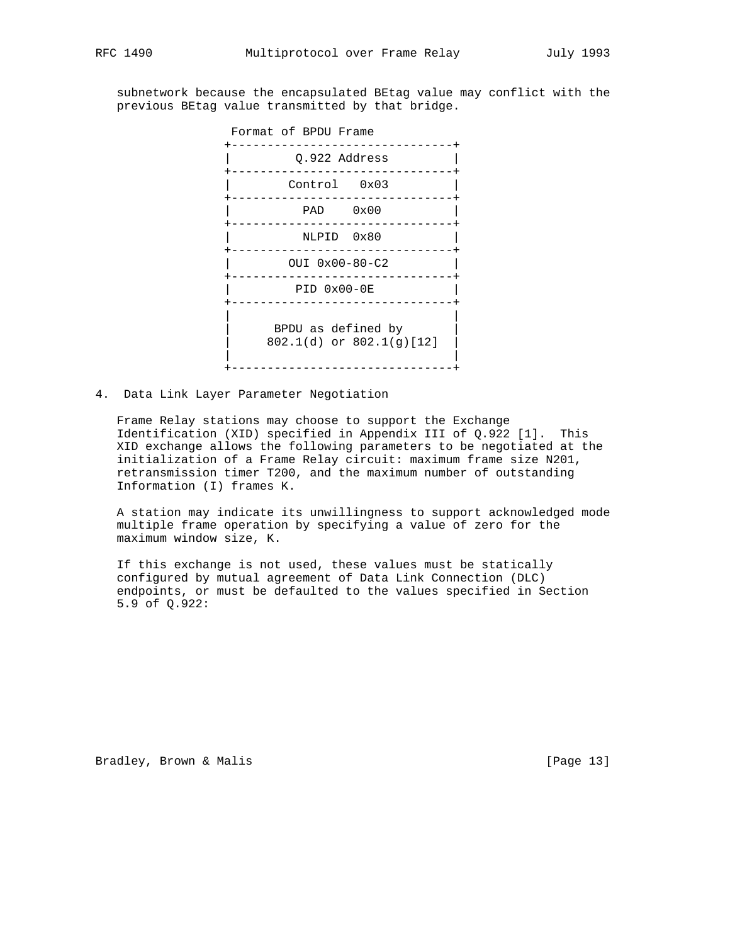subnetwork because the encapsulated BEtag value may conflict with the previous BEtag value transmitted by that bridge.



4. Data Link Layer Parameter Negotiation

 Frame Relay stations may choose to support the Exchange Identification (XID) specified in Appendix III of Q.922 [1]. This XID exchange allows the following parameters to be negotiated at the initialization of a Frame Relay circuit: maximum frame size N201, retransmission timer T200, and the maximum number of outstanding Information (I) frames K.

 A station may indicate its unwillingness to support acknowledged mode multiple frame operation by specifying a value of zero for the maximum window size, K.

 If this exchange is not used, these values must be statically configured by mutual agreement of Data Link Connection (DLC) endpoints, or must be defaulted to the values specified in Section 5.9 of Q.922:

Bradley, Brown & Malis [Page 13]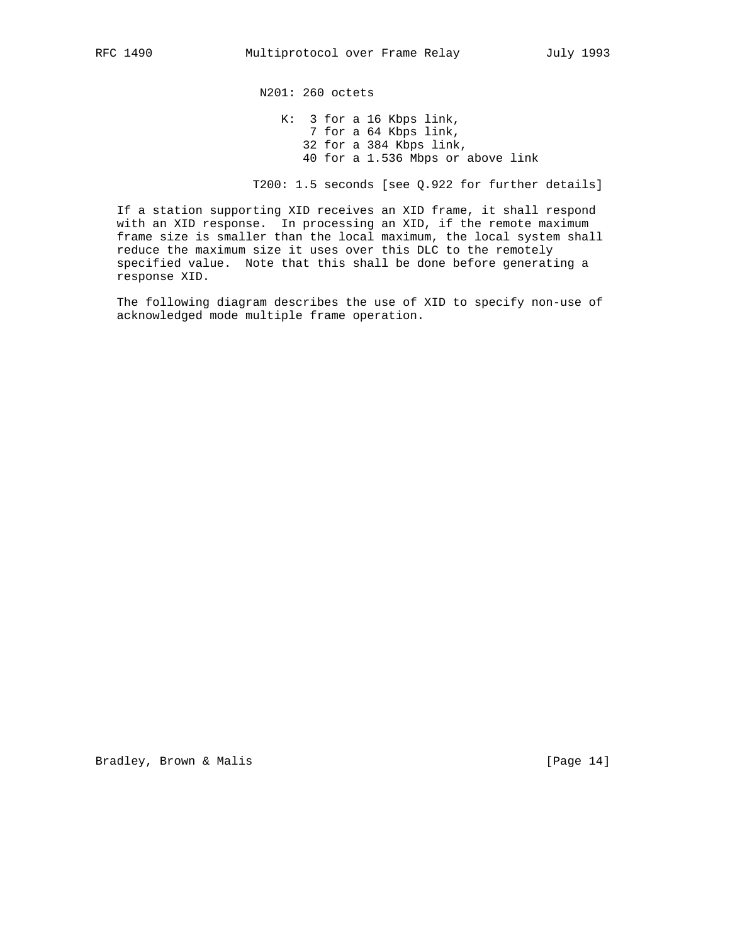N201: 260 octets K: 3 for a 16 Kbps link, 7 for a 64 Kbps link, 32 for a 384 Kbps link, 40 for a 1.536 Mbps or above link

T200: 1.5 seconds [see Q.922 for further details]

 If a station supporting XID receives an XID frame, it shall respond with an XID response. In processing an XID, if the remote maximum frame size is smaller than the local maximum, the local system shall reduce the maximum size it uses over this DLC to the remotely specified value. Note that this shall be done before generating a response XID.

 The following diagram describes the use of XID to specify non-use of acknowledged mode multiple frame operation.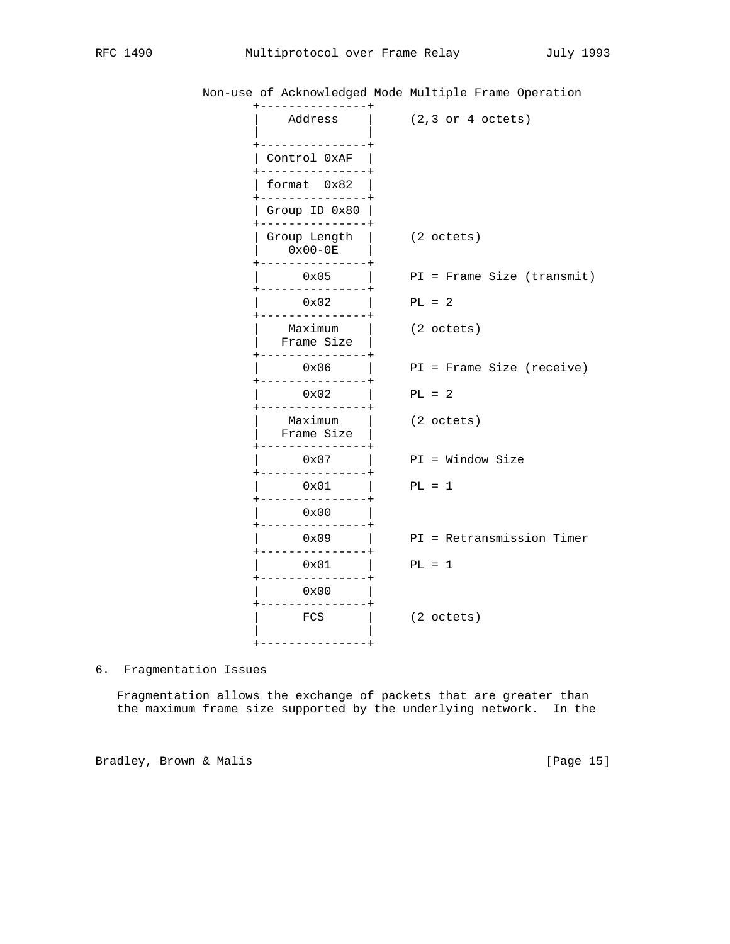| --------------                                  |                            |
|-------------------------------------------------|----------------------------|
| Address                                         | $(2,3$ or $4$ octets)      |
| Control 0xAF                                    |                            |
| $- - - - - -$<br>format 0x82<br>--------------+ |                            |
| Group ID 0x80                                   |                            |
| Group Length  <br>$0x00-0E$                     | (2 octets)                 |
| $0 \times 05$                                   | PI = Frame Size (transmit) |
| --------<br>-------+<br>$0 \times 02$           | $PL = 2$                   |
| Maximum<br>Frame Size                           | (2 octets)                 |
| -------------<br>0x06                           | PI = Frame Size (receive)  |
| $0 \times 02$                                   | $PL = 2$                   |
| Maximum<br>Frame Size                           | (2 octets)                 |
| 0x07                                            | $PI = Window Size$         |
| 0x01<br>-------------+                          | $PL = 1$                   |
| 0x00                                            |                            |
| 0x09                                            | PI = Retransmission Timer  |
| $0 \times 01$                                   | $PL = 1$                   |
| 0x00                                            |                            |
| FCS                                             | (2 octets)                 |
| ---------------+                                |                            |

Non-use of Acknowledged Mode Multiple Frame Operation

6. Fragmentation Issues

 Fragmentation allows the exchange of packets that are greater than the maximum frame size supported by the underlying network. In the

Bradley, Brown & Malis [Page 15]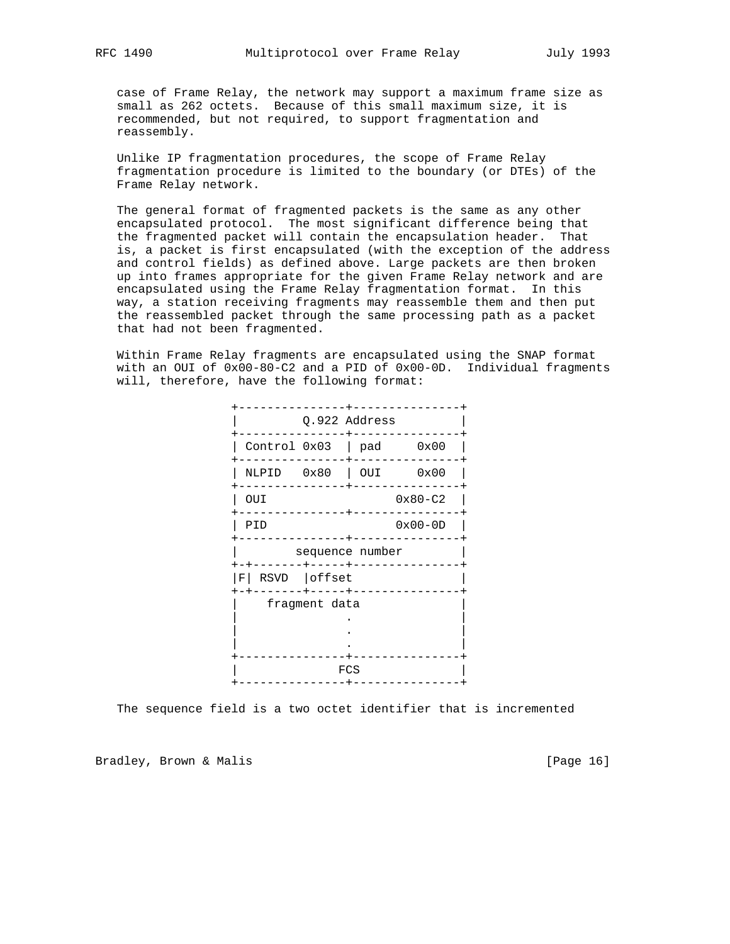case of Frame Relay, the network may support a maximum frame size as small as 262 octets. Because of this small maximum size, it is recommended, but not required, to support fragmentation and reassembly.

 Unlike IP fragmentation procedures, the scope of Frame Relay fragmentation procedure is limited to the boundary (or DTEs) of the Frame Relay network.

 The general format of fragmented packets is the same as any other encapsulated protocol. The most significant difference being that the fragmented packet will contain the encapsulation header. That is, a packet is first encapsulated (with the exception of the address and control fields) as defined above. Large packets are then broken up into frames appropriate for the given Frame Relay network and are encapsulated using the Frame Relay fragmentation format. In this way, a station receiving fragments may reassemble them and then put the reassembled packet through the same processing path as a packet that had not been fragmented.

 Within Frame Relay fragments are encapsulated using the SNAP format with an OUI of 0x00-80-C2 and a PID of 0x00-0D. Individual fragments will, therefore, have the following format:



The sequence field is a two octet identifier that is incremented

Bradley, Brown & Malis [Page 16]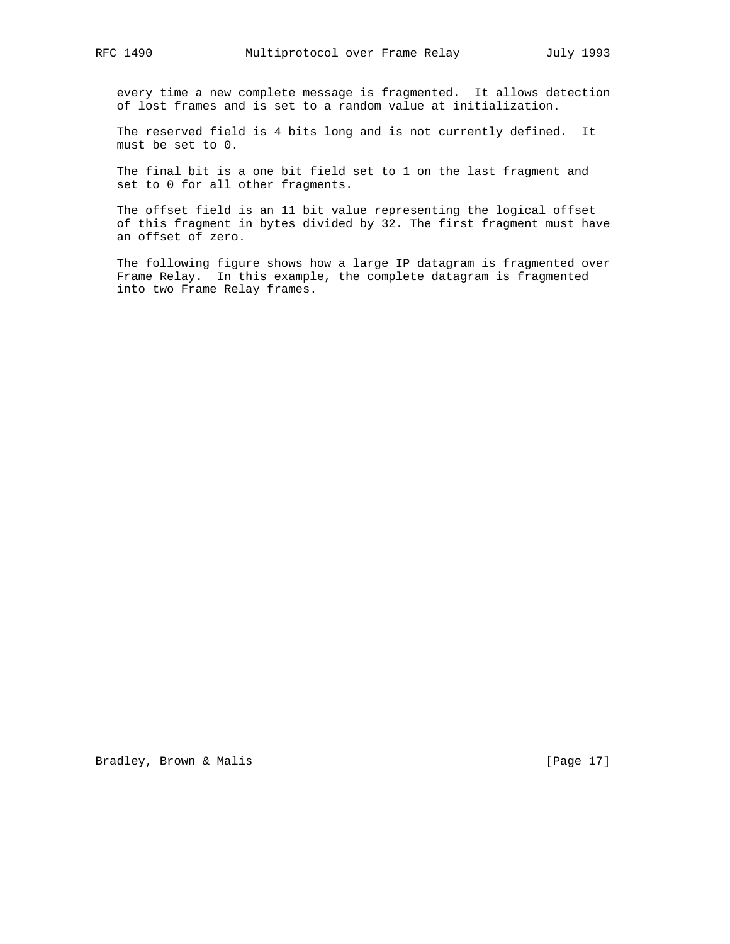every time a new complete message is fragmented. It allows detection of lost frames and is set to a random value at initialization.

 The reserved field is 4 bits long and is not currently defined. It must be set to 0.

 The final bit is a one bit field set to 1 on the last fragment and set to 0 for all other fragments.

 The offset field is an 11 bit value representing the logical offset of this fragment in bytes divided by 32. The first fragment must have an offset of zero.

 The following figure shows how a large IP datagram is fragmented over Frame Relay. In this example, the complete datagram is fragmented into two Frame Relay frames.

Bradley, Brown & Malis [Page 17]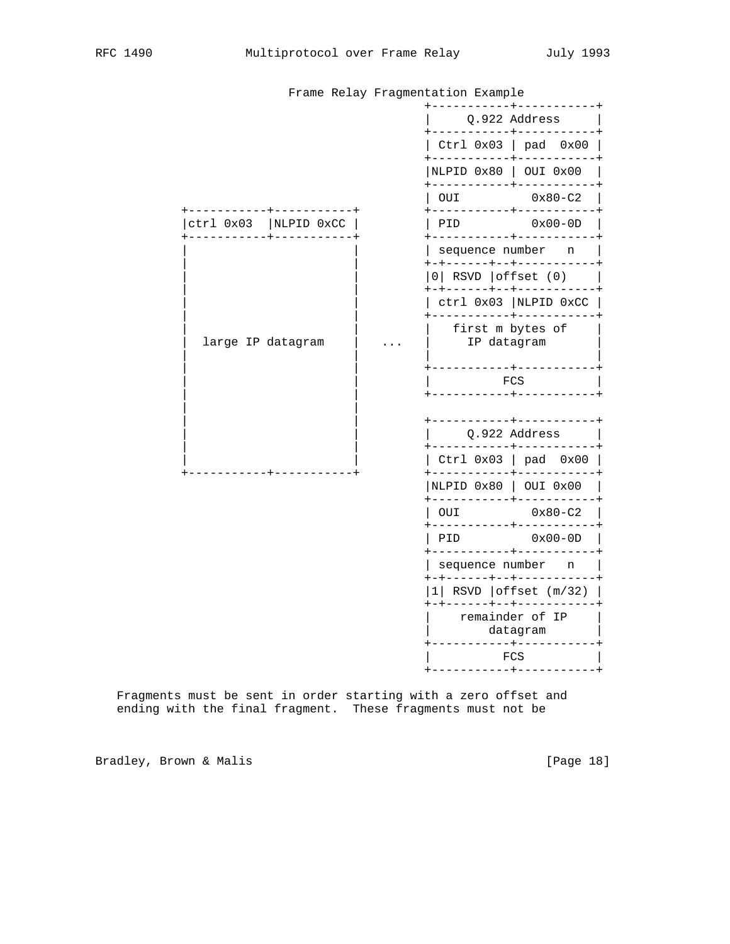|                   |            | Frame Relay Fragmentation Example                  |                                             |             |                             |               |  |
|-------------------|------------|----------------------------------------------------|---------------------------------------------|-------------|-----------------------------|---------------|--|
|                   |            |                                                    |                                             |             | Q.922 Address               |               |  |
|                   |            |                                                    | Ctrl $0x03$   pad $0x00$                    |             |                             |               |  |
|                   |            |                                                    | $------$<br>NLPID 0x80   OUI 0x00           |             |                             |               |  |
|                   |            |                                                    | OUI                                         |             |                             | $0x80 - C2$   |  |
| ctrl 0x03         | NLPID 0xCC |                                                    | ----------+-----<br>PID                     |             |                             | $0x00-0D$     |  |
|                   |            |                                                    | sequence number<br>+------+--+---------     |             |                             | n             |  |
|                   |            |                                                    | $0$ RSVD offset $(0)$<br>-+------+--+------ |             |                             |               |  |
|                   |            |                                                    | ctrl 0x03  NLPID 0xCC                       |             |                             |               |  |
| large IP datagram |            | --------+------<br>first m bytes of<br>IP datagram |                                             |             |                             |               |  |
|                   |            |                                                    |                                             | FCS         |                             |               |  |
|                   |            |                                                    |                                             |             |                             |               |  |
|                   |            |                                                    |                                             |             |                             | Q.922 Address |  |
|                   |            |                                                    | Ctrl 0x03                                   |             | $\vert$ pad $0 \times 00$   |               |  |
|                   |            |                                                    | NLPID 0x80   OUI 0x00                       |             |                             |               |  |
|                   |            |                                                    | OUI                                         |             |                             | $0x80 - C2$   |  |
|                   |            |                                                    | PID                                         |             |                             | $0x00-0D$     |  |
|                   |            |                                                    | sequence number<br>-+------+--+--------     |             |                             | n             |  |
|                   |            |                                                    | $1$ RSVD offset $(m/32)$                    |             |                             |               |  |
|                   |            |                                                    |                                             | $- - - - +$ | remainder of IP<br>datagram |               |  |
|                   |            |                                                    |                                             | <b>FCS</b>  |                             |               |  |
|                   |            |                                                    |                                             |             |                             |               |  |

Frame Relay Fragmentation Example

 Fragments must be sent in order starting with a zero offset and ending with the final fragment. These fragments must not be

Bradley, Brown & Malis (Page 18)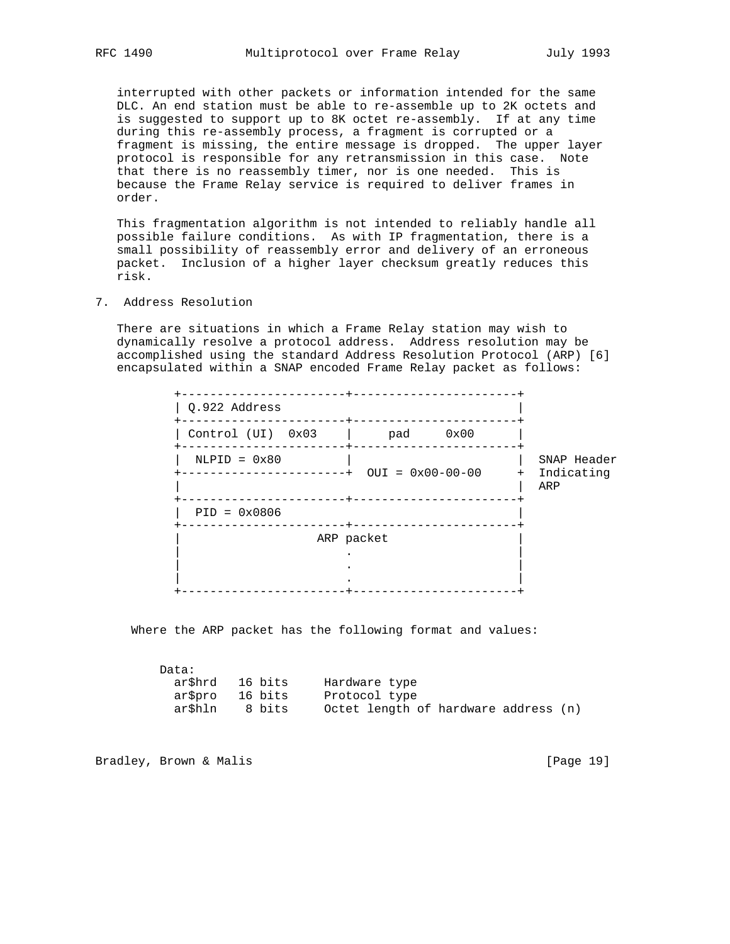interrupted with other packets or information intended for the same DLC. An end station must be able to re-assemble up to 2K octets and is suggested to support up to 8K octet re-assembly. If at any time during this re-assembly process, a fragment is corrupted or a fragment is missing, the entire message is dropped. The upper layer protocol is responsible for any retransmission in this case. Note that there is no reassembly timer, nor is one needed. This is because the Frame Relay service is required to deliver frames in order.

 This fragmentation algorithm is not intended to reliably handle all possible failure conditions. As with IP fragmentation, there is a small possibility of reassembly error and delivery of an erroneous packet. Inclusion of a higher layer checksum greatly reduces this risk.

7. Address Resolution

 There are situations in which a Frame Relay station may wish to dynamically resolve a protocol address. Address resolution may be accomplished using the standard Address Resolution Protocol (ARP) [6] encapsulated within a SNAP encoded Frame Relay packet as follows:

| Q.922 Address     |            |                    |            |                           |
|-------------------|------------|--------------------|------------|---------------------------|
| Control (UI) 0x03 | pad        | 0x00               |            |                           |
| $NLPID = 0x80$    |            | $OUT = 0x00-00-00$ | $+$<br>ARP | SNAP Header<br>Indicating |
| $PID = 0x0806$    |            |                    |            |                           |
|                   | ARP packet |                    |            |                           |
|                   |            |                    |            |                           |

Where the ARP packet has the following format and values:

| Data:   |         |                                      |
|---------|---------|--------------------------------------|
| ar\$hrd | 16 bits | Hardware type                        |
| aršpro  | 16 bits | Protocol type                        |
| ar\$hln | 8 bits  | Octet length of hardware address (n) |

Bradley, Brown & Malis [Page 19]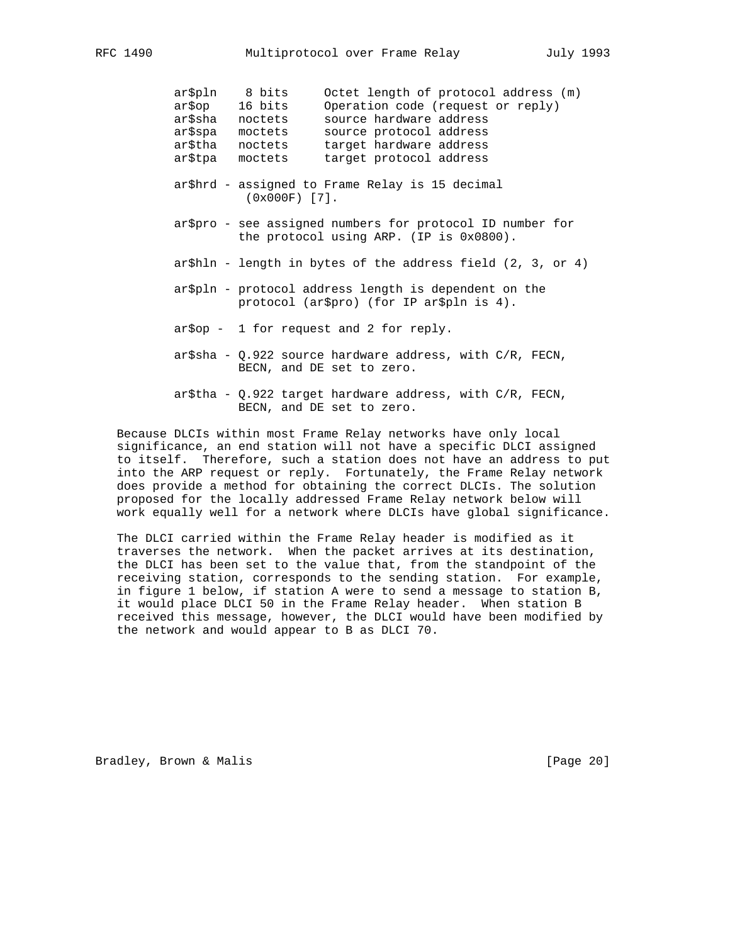| ar\$pln<br>ar\$op<br>ar\$sha<br>ar\$spa<br>ar\$tha<br>ar\$tpa | 8 bits<br>16 bits<br>noctets<br>moctets<br>noctets<br>moctets | Octet length of protocol address (m)<br>Operation code (request or reply)<br>source hardware address<br>source protocol address<br>target hardware address<br>target protocol address |
|---------------------------------------------------------------|---------------------------------------------------------------|---------------------------------------------------------------------------------------------------------------------------------------------------------------------------------------|
|                                                               | $(0x000F)$ [7].                                               | ar\$hrd - assigned to Frame Relay is 15 decimal                                                                                                                                       |
|                                                               |                                                               | ar\$pro - see assigned numbers for protocol ID number for<br>the protocol using ARP. (IP is 0x0800).                                                                                  |

- ar\$hln length in bytes of the address field (2, 3, or 4)
- ar\$pln protocol address length is dependent on the protocol (ar\$pro) (for IP ar\$pln is 4).
- ar\$op 1 for request and 2 for reply.
- ar\$sha Q.922 source hardware address, with C/R, FECN, BECN, and DE set to zero.
- ar\$tha Q.922 target hardware address, with C/R, FECN, BECN, and DE set to zero.

 Because DLCIs within most Frame Relay networks have only local significance, an end station will not have a specific DLCI assigned to itself. Therefore, such a station does not have an address to put into the ARP request or reply. Fortunately, the Frame Relay network does provide a method for obtaining the correct DLCIs. The solution proposed for the locally addressed Frame Relay network below will work equally well for a network where DLCIs have global significance.

 The DLCI carried within the Frame Relay header is modified as it traverses the network. When the packet arrives at its destination, the DLCI has been set to the value that, from the standpoint of the receiving station, corresponds to the sending station. For example, in figure 1 below, if station A were to send a message to station B, it would place DLCI 50 in the Frame Relay header. When station B received this message, however, the DLCI would have been modified by the network and would appear to B as DLCI 70.

Bradley, Brown & Malis [Page 20]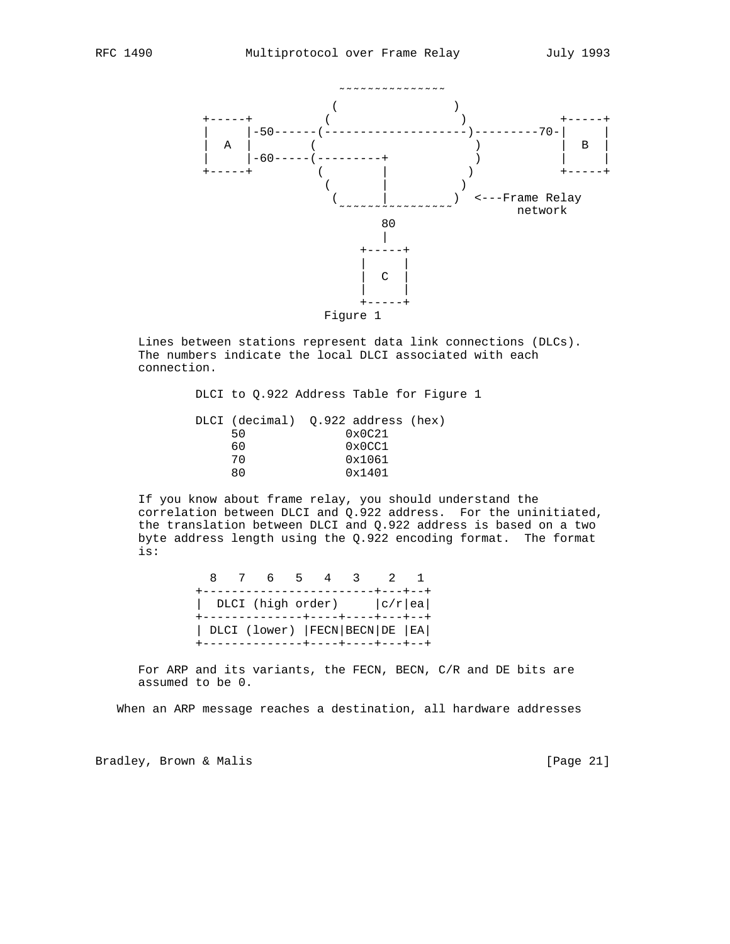

 Lines between stations represent data link connections (DLCs). The numbers indicate the local DLCI associated with each connection.

> DLCI to Q.922 Address Table for Figure 1 DLCI (decimal) Q.922 address (hex) 50 0x0C21 60 0x0CC1<br>70 0x1061 70 0x1061<br>80 0x1401 0x1401

 If you know about frame relay, you should understand the correlation between DLCI and Q.922 address. For the uninitiated, the translation between DLCI and Q.922 address is based on a two byte address length using the Q.922 encoding format. The format is:

|                                      | 8 7 6 5 4 3 2                     |  |  |  |
|--------------------------------------|-----------------------------------|--|--|--|
|                                      | ----------------------+---+---+   |  |  |  |
| DLCI (high order) $ c/r $ ea         |                                   |  |  |  |
| +--------------+----+----+---+---    |                                   |  |  |  |
| DLCI (lower)   FECN   BECN   DE   EA |                                   |  |  |  |
|                                      | --------------+----+----+----+--- |  |  |  |

 For ARP and its variants, the FECN, BECN, C/R and DE bits are assumed to be 0.

When an ARP message reaches a destination, all hardware addresses

Bradley, Brown & Malis [Page 21]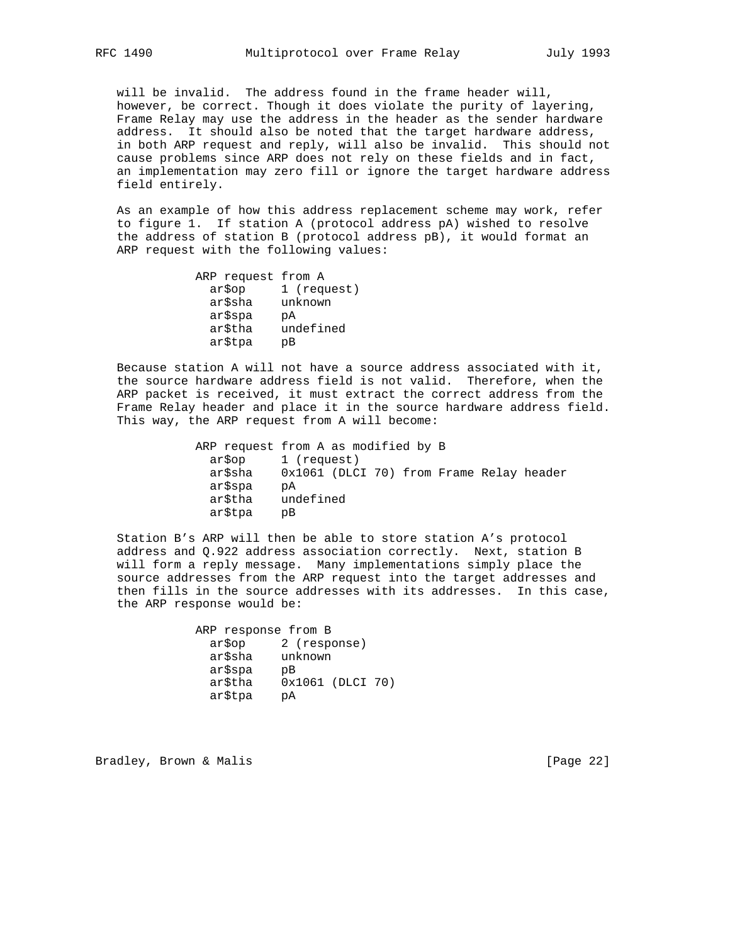will be invalid. The address found in the frame header will, however, be correct. Though it does violate the purity of layering, Frame Relay may use the address in the header as the sender hardware address. It should also be noted that the target hardware address, in both ARP request and reply, will also be invalid. This should not cause problems since ARP does not rely on these fields and in fact, an implementation may zero fill or ignore the target hardware address field entirely.

 As an example of how this address replacement scheme may work, refer to figure 1. If station A (protocol address pA) wished to resolve the address of station B (protocol address pB), it would format an ARP request with the following values:

| 1 (request) |
|-------------|
|             |
|             |
|             |
|             |
|             |

 Because station A will not have a source address associated with it, the source hardware address field is not valid. Therefore, when the ARP packet is received, it must extract the correct address from the Frame Relay header and place it in the source hardware address field. This way, the ARP request from A will become:

 ARP request from A as modified by B ar\$op 1 (request) ar\$sha 0x1061 (DLCI 70) from Frame Relay header ar\$spa pA ar\$tha undefined ar\$tpa pB

 Station B's ARP will then be able to store station A's protocol address and Q.922 address association correctly. Next, station B will form a reply message. Many implementations simply place the source addresses from the ARP request into the target addresses and then fills in the source addresses with its addresses. In this case, the ARP response would be:

> ARP response from B ar\$op 2 (response) ar\$sha unknown ar\$spa pB ar\$tha 0x1061 (DLCI 70) ar\$tpa pA

Bradley, Brown & Malis [Page 22]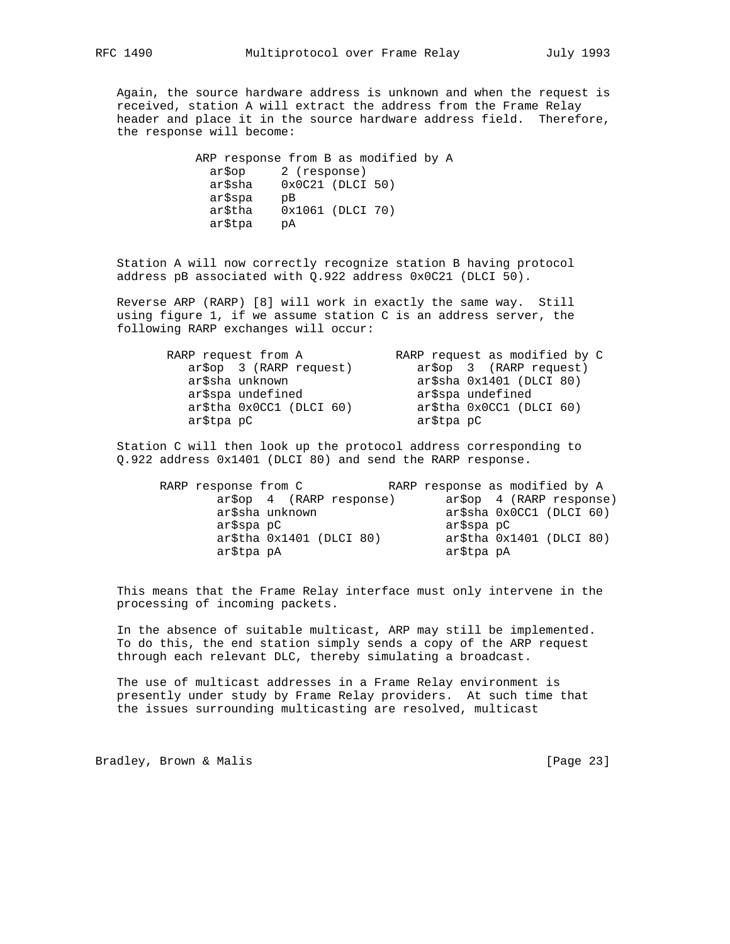Again, the source hardware address is unknown and when the request is received, station A will extract the address from the Frame Relay header and place it in the source hardware address field. Therefore, the response will become:

> ARP response from B as modified by A ar\$op 2 (response) ar\$sha 0x0C21 (DLCI 50) ar\$spa pB ar\$tha 0x1061 (DLCI 70) ar\$tpa pA

 Station A will now correctly recognize station B having protocol address pB associated with Q.922 address 0x0C21 (DLCI 50).

 Reverse ARP (RARP) [8] will work in exactly the same way. Still using figure 1, if we assume station C is an address server, the following RARP exchanges will occur:

| RARP request from A      | RARP request as modified by C |
|--------------------------|-------------------------------|
| ar\$op 3 (RARP request)  | ar\$op 3 (RARP request)       |
| ar\$sha unknown          | $ar\$ sha $0x1401$ (DLCI 80)  |
| ar\$spa undefined        | ar\$spa undefined             |
| ar\$tha 0x0CC1 (DLCI 60) | ar\$tha 0x0CC1 (DLCI 60)      |
| ar\$tpa pC               | ar\$tpa pC                    |

 Station C will then look up the protocol address corresponding to Q.922 address 0x1401 (DLCI 80) and send the RARP response.

| RARP response from C           |            | RARP response as modified by A |
|--------------------------------|------------|--------------------------------|
| $ar\$ {5}op 4 (RARP response)  |            | $ar\$ {5}op 4 (RARP response)  |
| ar\$sha unknown                |            | $ar\$ sha $0x0CC1$ (DLCI 60)   |
| ar\$spa pC                     | ar\$spa pC |                                |
| $ar$tha$ $0x1401$ ( $DLCI$ 80) |            | arStha 0x1401 (DLCI 80)        |
| ar\$tpa pA                     | ar\$tpa pA |                                |

 This means that the Frame Relay interface must only intervene in the processing of incoming packets.

 In the absence of suitable multicast, ARP may still be implemented. To do this, the end station simply sends a copy of the ARP request through each relevant DLC, thereby simulating a broadcast.

 The use of multicast addresses in a Frame Relay environment is presently under study by Frame Relay providers. At such time that the issues surrounding multicasting are resolved, multicast

Bradley, Brown & Malis [Page 23]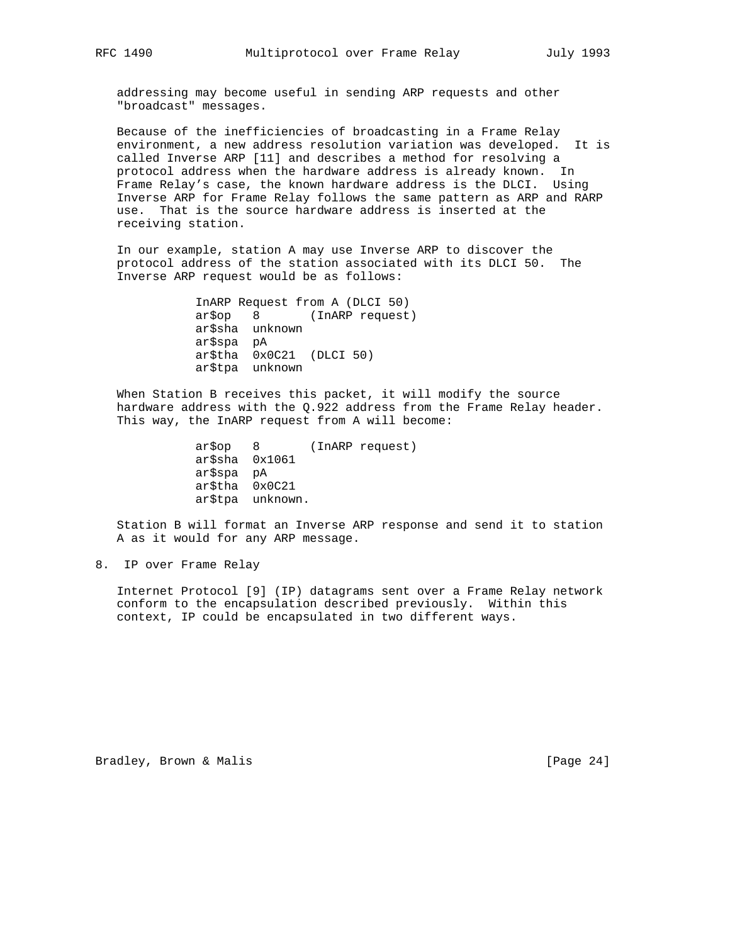addressing may become useful in sending ARP requests and other "broadcast" messages.

 Because of the inefficiencies of broadcasting in a Frame Relay environment, a new address resolution variation was developed. It is called Inverse ARP [11] and describes a method for resolving a protocol address when the hardware address is already known. In Frame Relay's case, the known hardware address is the DLCI. Using Inverse ARP for Frame Relay follows the same pattern as ARP and RARP use. That is the source hardware address is inserted at the receiving station.

 In our example, station A may use Inverse ARP to discover the protocol address of the station associated with its DLCI 50. The Inverse ARP request would be as follows:

> InARP Request from A (DLCI 50) ar\$op 8 (InARP request) ar\$sha unknown ar\$spa pA ar\$tha 0x0C21 (DLCI 50) ar\$tpa unknown

 When Station B receives this packet, it will modify the source hardware address with the Q.922 address from the Frame Relay header. This way, the InARP request from A will become:

```
 ar$op 8 (InARP request)
ar$sha 0x1061
ar$spa pA
ar$tha 0x0C21
ar$tpa unknown.
```
 Station B will format an Inverse ARP response and send it to station A as it would for any ARP message.

8. IP over Frame Relay

 Internet Protocol [9] (IP) datagrams sent over a Frame Relay network conform to the encapsulation described previously. Within this context, IP could be encapsulated in two different ways.

Bradley, Brown & Malis [Page 24]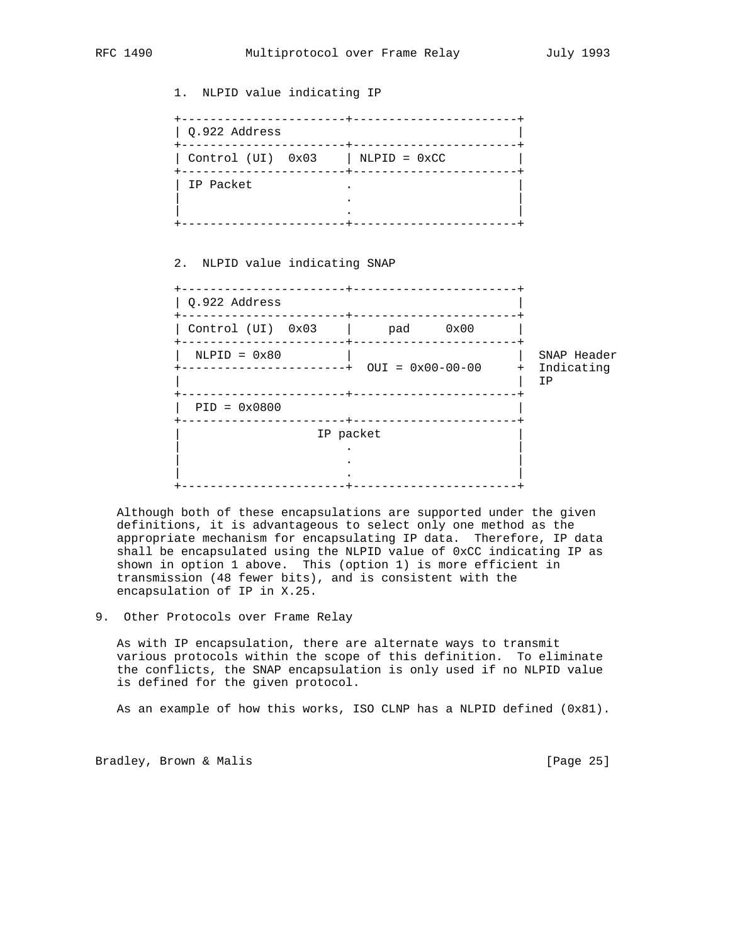1. NLPID value indicating IP +-----------------------+-----------------------+ | Q.922 Address | +-----------------------+-----------------------+  $|$  Control (UI)  $0x03$   $|$  NLPID =  $0xCC$  +-----------------------+-----------------------+ | IP Packet . | | . | | . | +-----------------------+-----------------------+ 2. NLPID value indicating SNAP +-----------------------+-----------------------+  $\vert$  Q.922 Address +-----------------------+-----------------------+ | Control (UI) 0x03 | pad 0x00 |

# +-----------------------+-----------------------+ | NLPID = 0x80 | | SNAP Header +-----------------------+ OUI = 0x00-00-00 + Indicating | | IP +-----------------------+-----------------------+ | PID = 0x0800 | +-----------------------+-----------------------+ IP packet | . | | . | | . | +-----------------------+-----------------------+

 Although both of these encapsulations are supported under the given definitions, it is advantageous to select only one method as the appropriate mechanism for encapsulating IP data. Therefore, IP data shall be encapsulated using the NLPID value of 0xCC indicating IP as shown in option 1 above. This (option 1) is more efficient in transmission (48 fewer bits), and is consistent with the encapsulation of IP in X.25.

9. Other Protocols over Frame Relay

 As with IP encapsulation, there are alternate ways to transmit various protocols within the scope of this definition. To eliminate the conflicts, the SNAP encapsulation is only used if no NLPID value is defined for the given protocol.

As an example of how this works, ISO CLNP has a NLPID defined  $(0x81)$ .

Bradley, Brown & Malis [Page 25]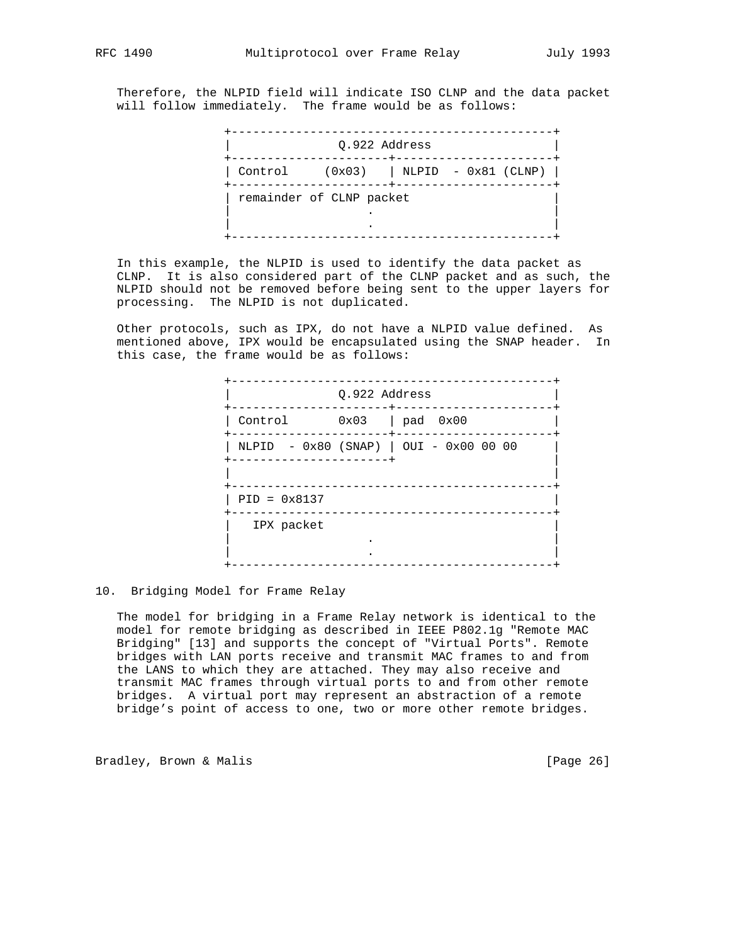Therefore, the NLPID field will indicate ISO CLNP and the data packet will follow immediately. The frame would be as follows:

|         | Q.922 Address            |                                  |
|---------|--------------------------|----------------------------------|
| Control |                          | $(0x03)$   NLPID - $0x81$ (CLNP) |
|         | remainder of CLNP packet |                                  |
|         |                          |                                  |
|         |                          |                                  |

 In this example, the NLPID is used to identify the data packet as CLNP. It is also considered part of the CLNP packet and as such, the NLPID should not be removed before being sent to the upper layers for processing. The NLPID is not duplicated.

 Other protocols, such as IPX, do not have a NLPID value defined. As mentioned above, IPX would be encapsulated using the SNAP header. In this case, the frame would be as follows:

|                         | 0.922 Address | --------------+----------                |
|-------------------------|---------------|------------------------------------------|
| Control 0x03   pad 0x00 |               | ----+------------                        |
| ----------------------  |               | $NLPID - 0x80 (SNAP)   0UI - 0x00 00 00$ |
| $PID = 0x8137$          |               |                                          |
| IPX packet              |               |                                          |

#### 10. Bridging Model for Frame Relay

 The model for bridging in a Frame Relay network is identical to the model for remote bridging as described in IEEE P802.1g "Remote MAC Bridging" [13] and supports the concept of "Virtual Ports". Remote bridges with LAN ports receive and transmit MAC frames to and from the LANS to which they are attached. They may also receive and transmit MAC frames through virtual ports to and from other remote bridges. A virtual port may represent an abstraction of a remote bridge's point of access to one, two or more other remote bridges.

Bradley, Brown & Malis (1998) [Page 26]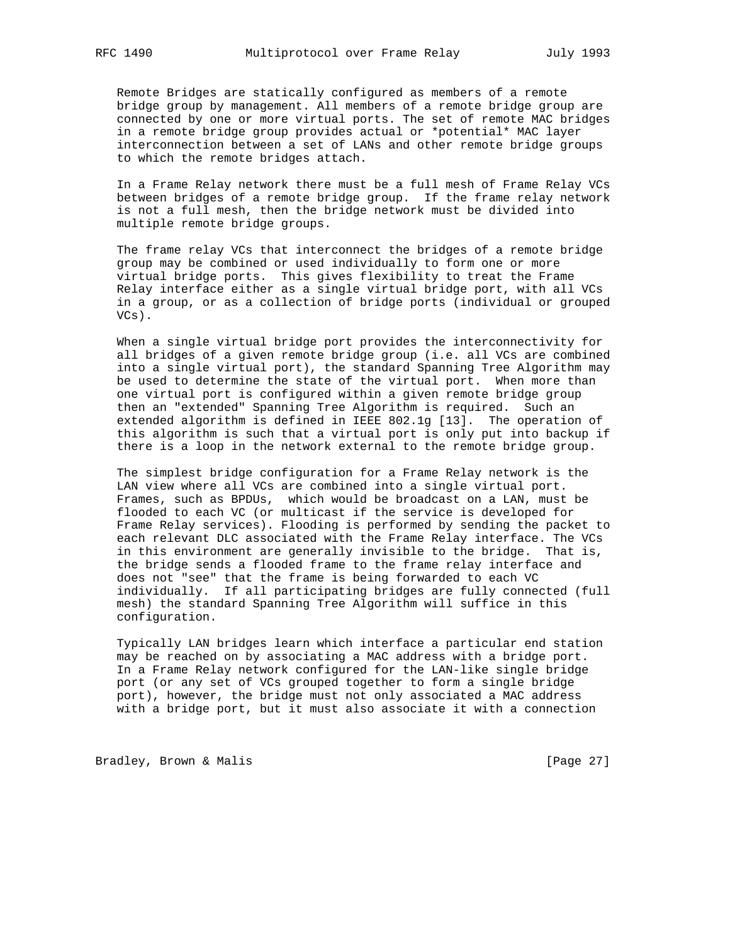Remote Bridges are statically configured as members of a remote bridge group by management. All members of a remote bridge group are connected by one or more virtual ports. The set of remote MAC bridges in a remote bridge group provides actual or \*potential\* MAC layer interconnection between a set of LANs and other remote bridge groups to which the remote bridges attach.

 In a Frame Relay network there must be a full mesh of Frame Relay VCs between bridges of a remote bridge group. If the frame relay network is not a full mesh, then the bridge network must be divided into multiple remote bridge groups.

 The frame relay VCs that interconnect the bridges of a remote bridge group may be combined or used individually to form one or more virtual bridge ports. This gives flexibility to treat the Frame Relay interface either as a single virtual bridge port, with all VCs in a group, or as a collection of bridge ports (individual or grouped VCs).

 When a single virtual bridge port provides the interconnectivity for all bridges of a given remote bridge group (i.e. all VCs are combined into a single virtual port), the standard Spanning Tree Algorithm may be used to determine the state of the virtual port. When more than one virtual port is configured within a given remote bridge group then an "extended" Spanning Tree Algorithm is required. Such an extended algorithm is defined in IEEE 802.1g [13]. The operation of this algorithm is such that a virtual port is only put into backup if there is a loop in the network external to the remote bridge group.

 The simplest bridge configuration for a Frame Relay network is the LAN view where all VCs are combined into a single virtual port. Frames, such as BPDUs, which would be broadcast on a LAN, must be flooded to each VC (or multicast if the service is developed for Frame Relay services). Flooding is performed by sending the packet to each relevant DLC associated with the Frame Relay interface. The VCs in this environment are generally invisible to the bridge. That is, the bridge sends a flooded frame to the frame relay interface and does not "see" that the frame is being forwarded to each VC individually. If all participating bridges are fully connected (full mesh) the standard Spanning Tree Algorithm will suffice in this configuration.

 Typically LAN bridges learn which interface a particular end station may be reached on by associating a MAC address with a bridge port. In a Frame Relay network configured for the LAN-like single bridge port (or any set of VCs grouped together to form a single bridge port), however, the bridge must not only associated a MAC address with a bridge port, but it must also associate it with a connection

Bradley, Brown & Malis [Page 27]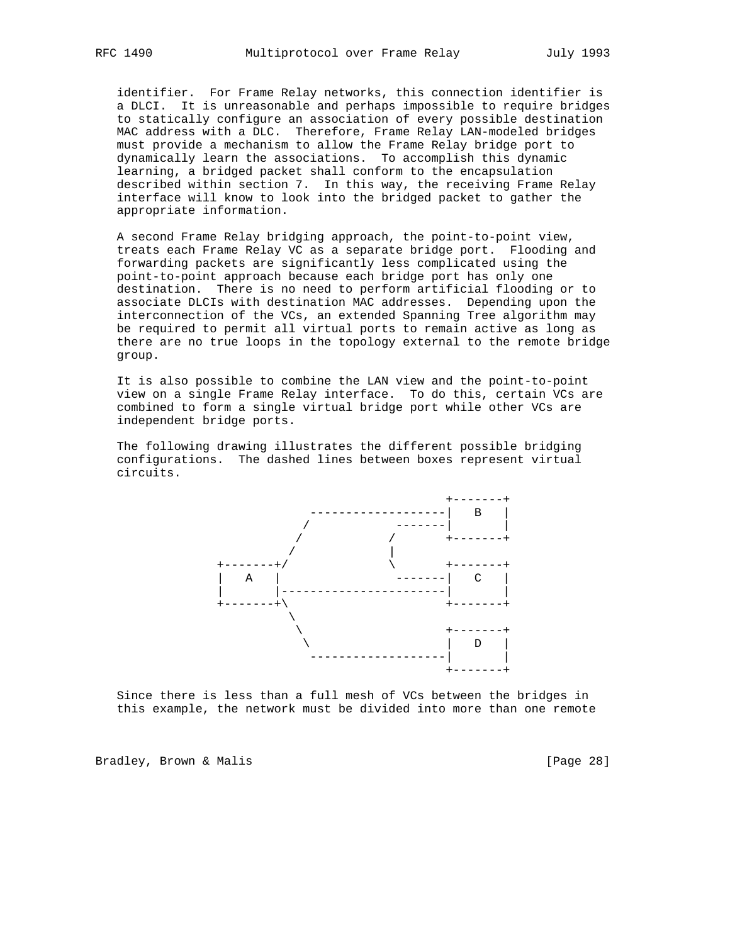identifier. For Frame Relay networks, this connection identifier is a DLCI. It is unreasonable and perhaps impossible to require bridges to statically configure an association of every possible destination MAC address with a DLC. Therefore, Frame Relay LAN-modeled bridges must provide a mechanism to allow the Frame Relay bridge port to dynamically learn the associations. To accomplish this dynamic learning, a bridged packet shall conform to the encapsulation described within section 7. In this way, the receiving Frame Relay interface will know to look into the bridged packet to gather the appropriate information.

 A second Frame Relay bridging approach, the point-to-point view, treats each Frame Relay VC as a separate bridge port. Flooding and forwarding packets are significantly less complicated using the point-to-point approach because each bridge port has only one destination. There is no need to perform artificial flooding or to associate DLCIs with destination MAC addresses. Depending upon the interconnection of the VCs, an extended Spanning Tree algorithm may be required to permit all virtual ports to remain active as long as there are no true loops in the topology external to the remote bridge group.

 It is also possible to combine the LAN view and the point-to-point view on a single Frame Relay interface. To do this, certain VCs are combined to form a single virtual bridge port while other VCs are independent bridge ports.

 The following drawing illustrates the different possible bridging configurations. The dashed lines between boxes represent virtual circuits.



 Since there is less than a full mesh of VCs between the bridges in this example, the network must be divided into more than one remote

Bradley, Brown & Malis [Page 28]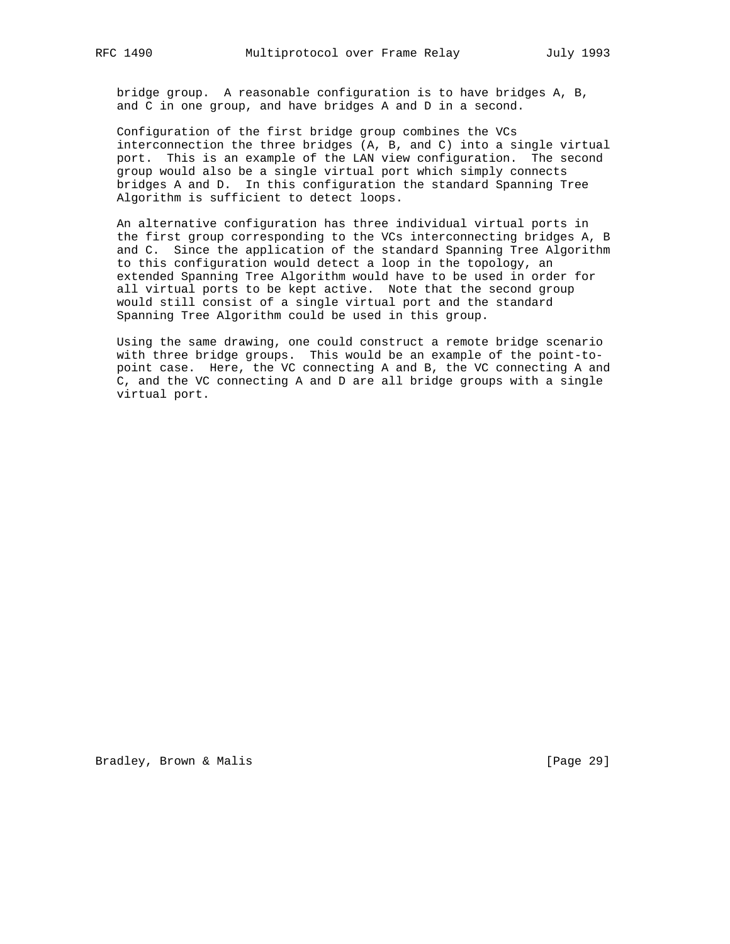bridge group. A reasonable configuration is to have bridges A, B, and C in one group, and have bridges A and D in a second.

 Configuration of the first bridge group combines the VCs interconnection the three bridges (A, B, and C) into a single virtual port. This is an example of the LAN view configuration. The second group would also be a single virtual port which simply connects bridges A and D. In this configuration the standard Spanning Tree Algorithm is sufficient to detect loops.

 An alternative configuration has three individual virtual ports in the first group corresponding to the VCs interconnecting bridges A, B and C. Since the application of the standard Spanning Tree Algorithm to this configuration would detect a loop in the topology, an extended Spanning Tree Algorithm would have to be used in order for all virtual ports to be kept active. Note that the second group would still consist of a single virtual port and the standard Spanning Tree Algorithm could be used in this group.

 Using the same drawing, one could construct a remote bridge scenario with three bridge groups. This would be an example of the point-to point case. Here, the VC connecting A and B, the VC connecting A and C, and the VC connecting A and D are all bridge groups with a single virtual port.

Bradley, Brown & Malis [Page 29]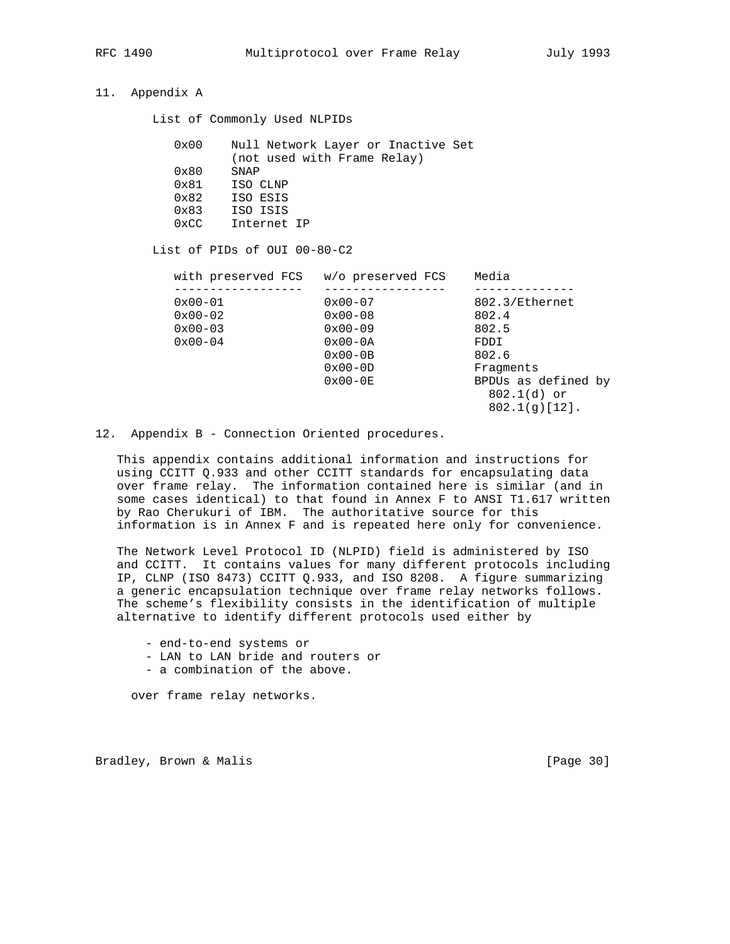# 11. Appendix A

List of Commonly Used NLPIDs

| 0x00          | Null Network Layer or Inactive Set |
|---------------|------------------------------------|
|               | (not used with Frame Relay)        |
| $0 \times 80$ | SNAP                               |
| $0 \times 81$ | ISO CLNP                           |
| $0 \times 82$ | ISO ESIS                           |
| $0 \times 83$ | ISO ISIS                           |
| $0 \times CC$ | Internet IP                        |

List of PIDs of OUI 00-80-C2

| with preserved FCS | w/o preserved FCS  | Media               |
|--------------------|--------------------|---------------------|
|                    |                    |                     |
| $0x00 - 01$        | $0x00 - 07$        | 802.3/Ethernet      |
| $0x00-02$          | $0x00 - 08$        | 802.4               |
| $0x00-03$          | $0x00-09$          | 802.5               |
| $0x00 - 04$        | $0x00-0A$          | FDDI                |
|                    | $0 \times 00 - 0B$ | 802.6               |
|                    | $0x00-0D$          | Fraqments           |
|                    | $0 \times 00 - 0E$ | BPDUs as defined by |
|                    |                    | $802.1(d)$ or       |
|                    |                    | $802.1(q)[12]$ .    |

12. Appendix B - Connection Oriented procedures.

 This appendix contains additional information and instructions for using CCITT Q.933 and other CCITT standards for encapsulating data over frame relay. The information contained here is similar (and in some cases identical) to that found in Annex F to ANSI T1.617 written by Rao Cherukuri of IBM. The authoritative source for this information is in Annex F and is repeated here only for convenience.

 The Network Level Protocol ID (NLPID) field is administered by ISO and CCITT. It contains values for many different protocols including IP, CLNP (ISO 8473) CCITT Q.933, and ISO 8208. A figure summarizing a generic encapsulation technique over frame relay networks follows. The scheme's flexibility consists in the identification of multiple alternative to identify different protocols used either by

- end-to-end systems or

- LAN to LAN bride and routers or
- a combination of the above.

over frame relay networks.

Bradley, Brown & Malis [Page 30]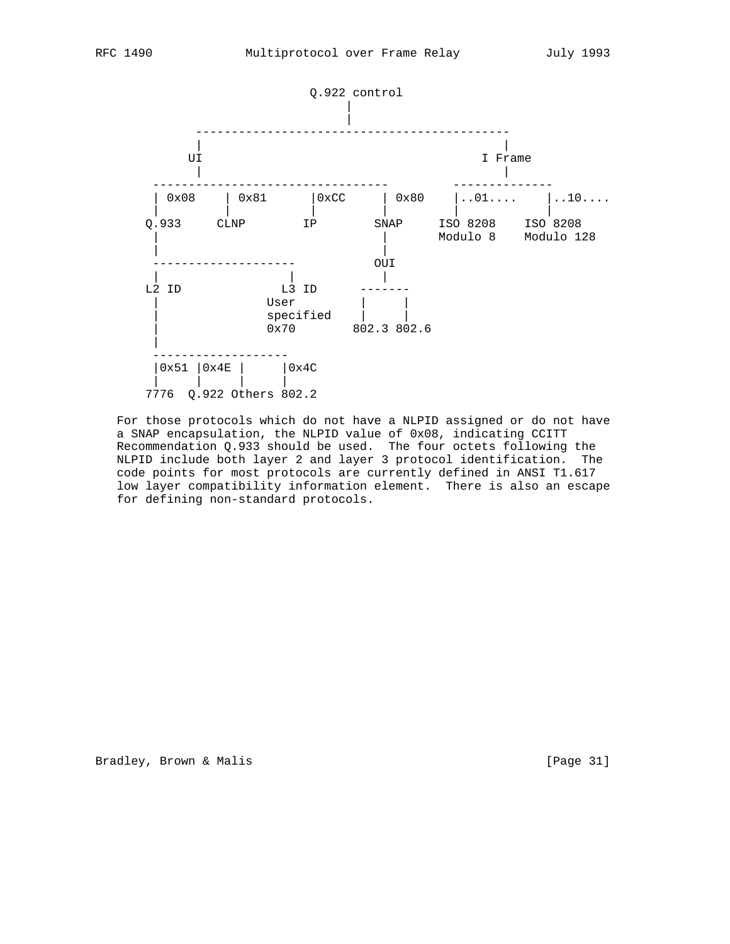

 For those protocols which do not have a NLPID assigned or do not have a SNAP encapsulation, the NLPID value of 0x08, indicating CCITT Recommendation Q.933 should be used. The four octets following the NLPID include both layer 2 and layer 3 protocol identification. The code points for most protocols are currently defined in ANSI T1.617 low layer compatibility information element. There is also an escape for defining non-standard protocols.

Bradley, Brown & Malis [Page 31]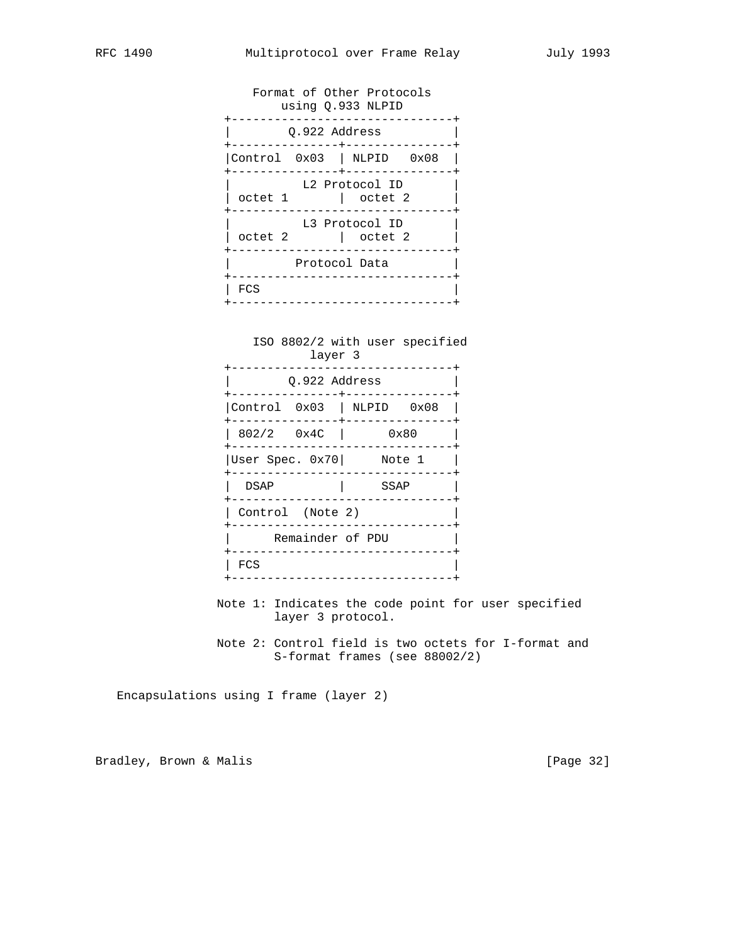Format of Other Protocols using Q.933 NLPID +-------------------------------+ | Q.922 Address | +---------------+---------------+ |Control 0x03 | NLPID 0x08 | +---------------+---------------+ L2 Protocol ID  $\vert$  octet 1  $\vert$  octet 2 +-------------------------------+ L3 Protocol ID  $|$  octet 2  $|$  octet 2 +-------------------------------+ Protocol Data +-------------------------------+ | FCS | +-------------------------------+

 ISO 8802/2 with user specified layer 3 +-------------------------------+ | Q.922 Address | +---------------+---------------+ |Control 0x03 | NLPID 0x08 | +---------------+---------------+ | 802/2 0x4C | 0x80 | +-------------------------------+ |User Spec. 0x70| Note 1 | +-------------------------------+ | DSAP | SSAP | +-------------------------------+ | Control (Note 2) | +-------------------------------+ | Remainder of PDU | +-------------------------------+ | FCS | +-------------------------------+

- Note 1: Indicates the code point for user specified layer 3 protocol.
- Note 2: Control field is two octets for I-format and S-format frames (see 88002/2)

Encapsulations using I frame (layer 2)

Bradley, Brown & Malis [Page 32]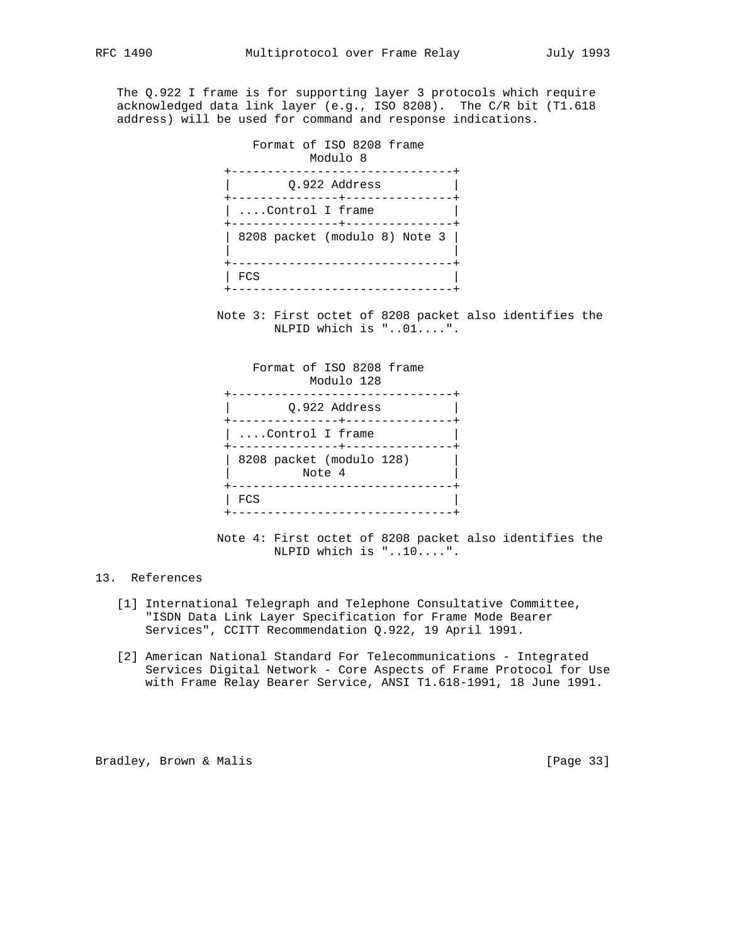The Q.922 I frame is for supporting layer 3 protocols which require acknowledged data link layer (e.g., ISO 8208). The C/R bit (T1.618 address) will be used for command and response indications.

 Format of ISO 8208 frame Modulo 8 +-------------------------------+ | Q.922 Address | +---------------+---------------+ | ....Control I frame +---------------+---------------+ | 8208 packet (modulo 8) Note 3 | | | +-------------------------------+  $|$  FCS +-------------------------------+

> Note 3: First octet of 8208 packet also identifies the NLPID which is "..01....".

 Format of ISO 8208 frame Modulo 128 +-------------------------------+ | Q.922 Address | +---------------+---------------+ | ....Control I frame +---------------+---------------+ | 8208 packet (modulo 128) | Note 4 +-------------------------------+  $\mathsf{FCS}$   $\qquad \qquad \blacksquare$ +-------------------------------+

> Note 4: First octet of 8208 packet also identifies the NLPID which is "..10....".

# 13. References

- [1] International Telegraph and Telephone Consultative Committee, "ISDN Data Link Layer Specification for Frame Mode Bearer Services", CCITT Recommendation Q.922, 19 April 1991.
- [2] American National Standard For Telecommunications Integrated Services Digital Network - Core Aspects of Frame Protocol for Use with Frame Relay Bearer Service, ANSI T1.618-1991, 18 June 1991.

Bradley, Brown & Malis [Page 33]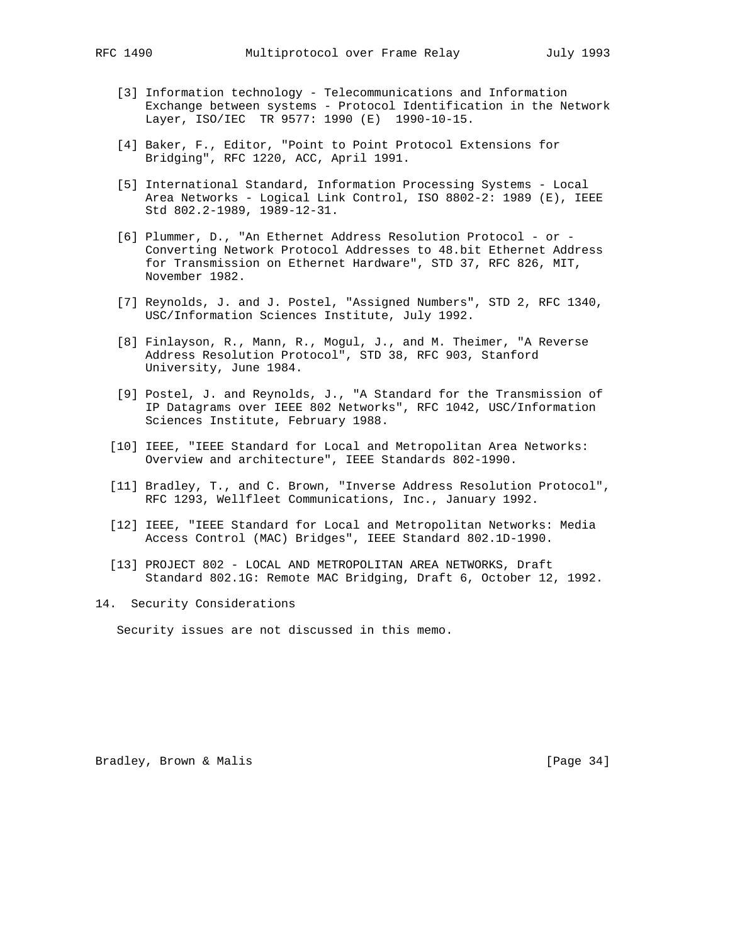- [3] Information technology Telecommunications and Information Exchange between systems - Protocol Identification in the Network Layer, ISO/IEC TR 9577: 1990 (E) 1990-10-15.
- [4] Baker, F., Editor, "Point to Point Protocol Extensions for Bridging", RFC 1220, ACC, April 1991.
- [5] International Standard, Information Processing Systems Local Area Networks - Logical Link Control, ISO 8802-2: 1989 (E), IEEE Std 802.2-1989, 1989-12-31.
- [6] Plummer, D., "An Ethernet Address Resolution Protocol or Converting Network Protocol Addresses to 48.bit Ethernet Address for Transmission on Ethernet Hardware", STD 37, RFC 826, MIT, November 1982.
- [7] Reynolds, J. and J. Postel, "Assigned Numbers", STD 2, RFC 1340, USC/Information Sciences Institute, July 1992.
- [8] Finlayson, R., Mann, R., Mogul, J., and M. Theimer, "A Reverse Address Resolution Protocol", STD 38, RFC 903, Stanford University, June 1984.
- [9] Postel, J. and Reynolds, J., "A Standard for the Transmission of IP Datagrams over IEEE 802 Networks", RFC 1042, USC/Information Sciences Institute, February 1988.
- [10] IEEE, "IEEE Standard for Local and Metropolitan Area Networks: Overview and architecture", IEEE Standards 802-1990.
- [11] Bradley, T., and C. Brown, "Inverse Address Resolution Protocol", RFC 1293, Wellfleet Communications, Inc., January 1992.
- [12] IEEE, "IEEE Standard for Local and Metropolitan Networks: Media Access Control (MAC) Bridges", IEEE Standard 802.1D-1990.
- [13] PROJECT 802 LOCAL AND METROPOLITAN AREA NETWORKS, Draft Standard 802.1G: Remote MAC Bridging, Draft 6, October 12, 1992.
- 14. Security Considerations

Security issues are not discussed in this memo.

Bradley, Brown & Malis [Page 34]